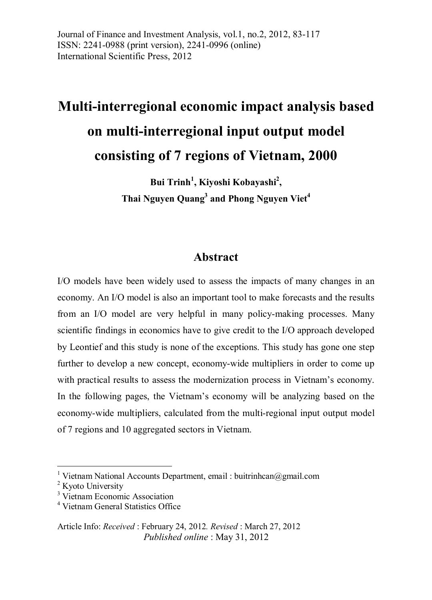Journal of Finance and Investment Analysis, vol.1, no.2, 2012, 83-117 ISSN: 2241-0988 (print version), 2241-0996 (online) International Scientific Press, 2012

# **Multi-interregional economic impact analysis based on multi-interregional input output model consisting of 7 regions of Vietnam, 2000**

**Bui Trinh<sup>1</sup> , Kiyoshi Kobayashi<sup>2</sup> , Thai Nguyen Quang<sup>3</sup> and Phong Nguyen Viet<sup>4</sup>**

#### **Abstract**

I/O models have been widely used to assess the impacts of many changes in an economy. An I/O model is also an important tool to make forecasts and the results from an I/O model are very helpful in many policy-making processes. Many scientific findings in economics have to give credit to the I/O approach developed by Leontief and this study is none of the exceptions. This study has gone one step further to develop a new concept, economy-wide multipliers in order to come up with practical results to assess the modernization process in Vietnam's economy. In the following pages, the Vietnam's economy will be analyzing based on the economy-wide multipliers, calculated from the multi-regional input output model of 7 regions and 10 aggregated sectors in Vietnam.

 $\overline{a}$ 

<sup>&</sup>lt;sup>1</sup> Vietnam National Accounts Department, email : buitrinhcan@gmail.com

<sup>&</sup>lt;sup>2</sup> Kyoto University

<sup>&</sup>lt;sup>3</sup> Vietnam Economic Association

<sup>4</sup> Vietnam General Statistics Office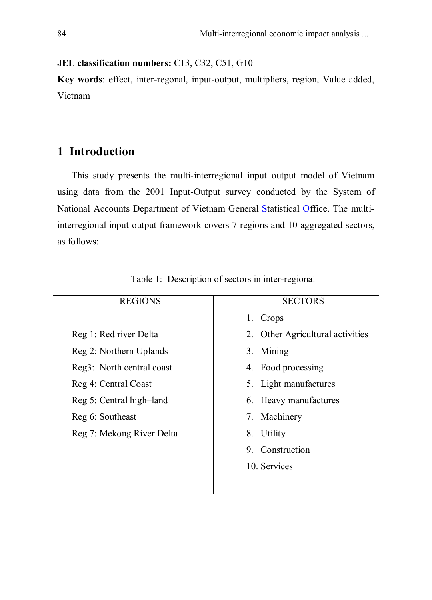#### **JEL classification numbers:** C13, C32, C51, G10

**Key words**: effect, inter-regonal, input-output, multipliers, region, Value added, Vietnam

#### **1 Introduction**

This study presents the multi-interregional input output model of Vietnam using data from the 2001 Input-Output survey conducted by the System of National Accounts Department of Vietnam General Statistical Office. The multiinterregional input output framework covers 7 regions and 10 aggregated sectors, as follows:

| <b>REGIONS</b>            | <b>SECTORS</b>                   |
|---------------------------|----------------------------------|
|                           | 1. Crops                         |
| Reg 1: Red river Delta    | 2. Other Agricultural activities |
| Reg 2: Northern Uplands   | 3. Mining                        |
| Reg3: North central coast | 4. Food processing               |
| Reg 4: Central Coast      | 5. Light manufactures            |
| Reg 5: Central high-land  | 6. Heavy manufactures            |
| Reg 6: Southeast          | 7. Machinery                     |
| Reg 7: Mekong River Delta | 8. Utility                       |
|                           | 9. Construction                  |
|                           | 10. Services                     |
|                           |                                  |

Table 1: Description of sectors in inter-regional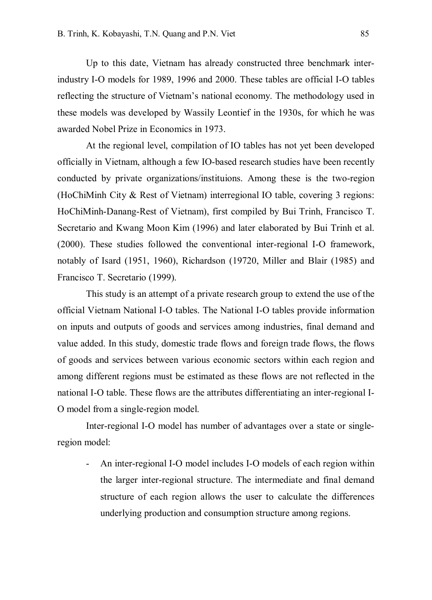Up to this date, Vietnam has already constructed three benchmark interindustry I-O models for 1989, 1996 and 2000. These tables are official I-O tables reflecting the structure of Vietnam's national economy. The methodology used in these models was developed by Wassily Leontief in the 1930s, for which he was awarded Nobel Prize in Economics in 1973.

At the regional level, compilation of IO tables has not yet been developed officially in Vietnam, although a few IO-based research studies have been recently conducted by private organizations/instituions. Among these is the two-region (HoChiMinh City & Rest of Vietnam) interregional IO table, covering 3 regions: HoChiMinh-Danang-Rest of Vietnam), first compiled by Bui Trinh, Francisco T. Secretario and Kwang Moon Kim (1996) and later elaborated by Bui Trinh et al. (2000). These studies followed the conventional inter-regional I-O framework, notably of Isard (1951, 1960), Richardson (19720, Miller and Blair (1985) and Francisco T. Secretario (1999).

This study is an attempt of a private research group to extend the use of the official Vietnam National I-O tables. The National I-O tables provide information on inputs and outputs of goods and services among industries, final demand and value added. In this study, domestic trade flows and foreign trade flows, the flows of goods and services between various economic sectors within each region and among different regions must be estimated as these flows are not reflected in the national I-O table. These flows are the attributes differentiating an inter-regional I-O model from a single-region model.

Inter-regional I-O model has number of advantages over a state or singleregion model:

- An inter-regional I-O model includes I-O models of each region within the larger inter-regional structure. The intermediate and final demand structure of each region allows the user to calculate the differences underlying production and consumption structure among regions.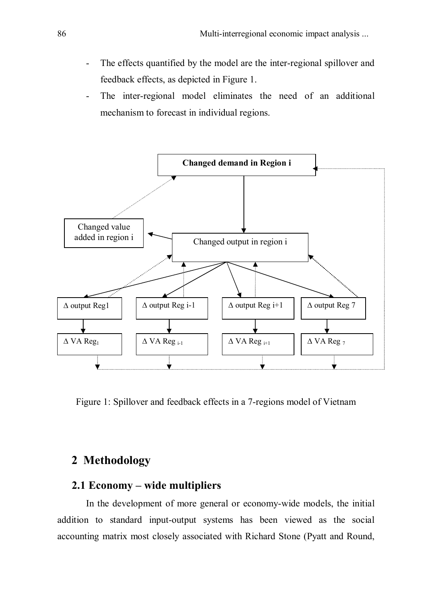- The effects quantified by the model are the inter-regional spillover and feedback effects, as depicted in Figure 1.
- The inter-regional model eliminates the need of an additional mechanism to forecast in individual regions.



Figure 1: Spillover and feedback effects in a 7-regions model of Vietnam

#### **2 Methodology**

#### **2.1 Economy – wide multipliers**

In the development of more general or economy-wide models, the initial addition to standard input-output systems has been viewed as the social accounting matrix most closely associated with Richard Stone (Pyatt and Round,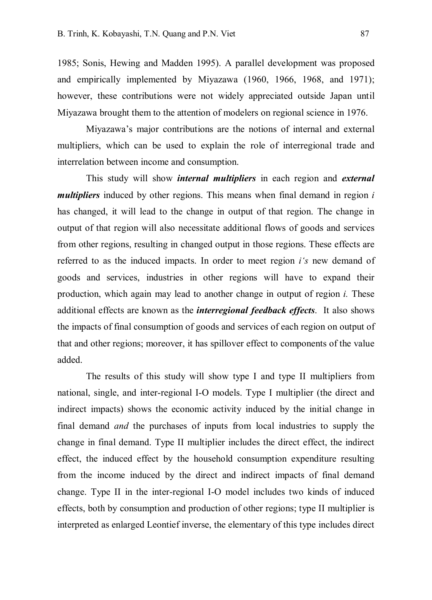1985; Sonis, Hewing and Madden 1995). A parallel development was proposed and empirically implemented by Miyazawa (1960, 1966, 1968, and 1971); however, these contributions were not widely appreciated outside Japan until Miyazawa brought them to the attention of modelers on regional science in 1976.

Miyazawa's major contributions are the notions of internal and external multipliers, which can be used to explain the role of interregional trade and interrelation between income and consumption.

This study will show *internal multipliers* in each region and *external multipliers* induced by other regions. This means when final demand in region *i*  has changed, it will lead to the change in output of that region. The change in output of that region will also necessitate additional flows of goods and services from other regions, resulting in changed output in those regions. These effects are referred to as the induced impacts. In order to meet region *i's* new demand of goods and services, industries in other regions will have to expand their production, which again may lead to another change in output of region *i.* These additional effects are known as the *interregional feedback effects*. It also shows the impacts of final consumption of goods and services of each region on output of that and other regions; moreover, it has spillover effect to components of the value added.

The results of this study will show type I and type II multipliers from national, single, and inter-regional I-O models. Type I multiplier (the direct and indirect impacts) shows the economic activity induced by the initial change in final demand *and* the purchases of inputs from local industries to supply the change in final demand. Type II multiplier includes the direct effect, the indirect effect, the induced effect by the household consumption expenditure resulting from the income induced by the direct and indirect impacts of final demand change. Type II in the inter-regional I-O model includes two kinds of induced effects, both by consumption and production of other regions; type II multiplier is interpreted as enlarged Leontief inverse, the elementary of this type includes direct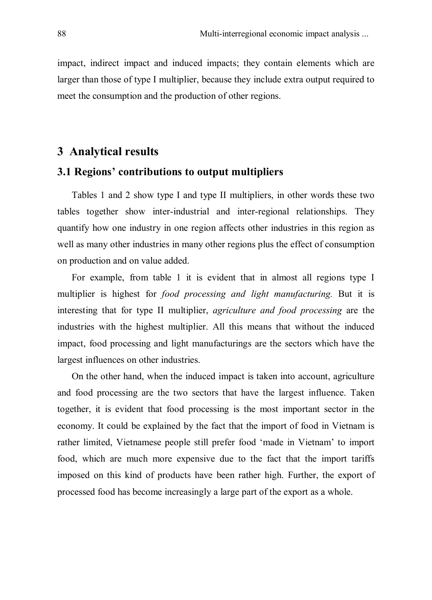impact, indirect impact and induced impacts; they contain elements which are larger than those of type I multiplier, because they include extra output required to meet the consumption and the production of other regions.

#### **3 Analytical results**

#### **3.1 Regions' contributions to output multipliers**

Tables 1 and 2 show type I and type II multipliers, in other words these two tables together show inter-industrial and inter-regional relationships. They quantify how one industry in one region affects other industries in this region as well as many other industries in many other regions plus the effect of consumption on production and on value added.

For example, from table 1 it is evident that in almost all regions type I multiplier is highest for *food processing and light manufacturing.* But it is interesting that for type II multiplier, *agriculture and food processing* are the industries with the highest multiplier. All this means that without the induced impact, food processing and light manufacturings are the sectors which have the largest influences on other industries.

On the other hand, when the induced impact is taken into account, agriculture and food processing are the two sectors that have the largest influence. Taken together, it is evident that food processing is the most important sector in the economy. It could be explained by the fact that the import of food in Vietnam is rather limited, Vietnamese people still prefer food 'made in Vietnam' to import food, which are much more expensive due to the fact that the import tariffs imposed on this kind of products have been rather high. Further, the export of processed food has become increasingly a large part of the export as a whole.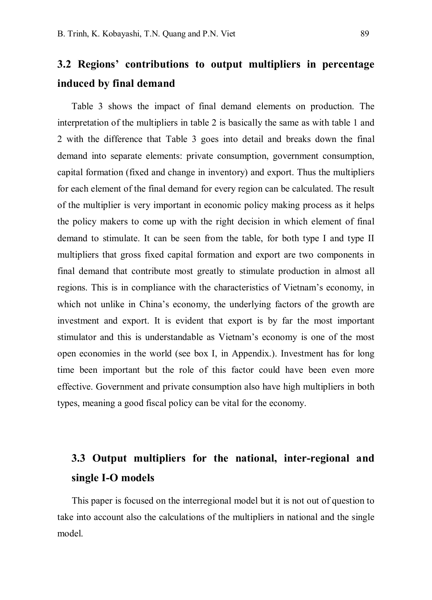# **3.2 Regions' contributions to output multipliers in percentage induced by final demand**

Table 3 shows the impact of final demand elements on production. The interpretation of the multipliers in table 2 is basically the same as with table 1 and 2 with the difference that Table 3 goes into detail and breaks down the final demand into separate elements: private consumption, government consumption, capital formation (fixed and change in inventory) and export. Thus the multipliers for each element of the final demand for every region can be calculated. The result of the multiplier is very important in economic policy making process as it helps the policy makers to come up with the right decision in which element of final demand to stimulate. It can be seen from the table, for both type I and type II multipliers that gross fixed capital formation and export are two components in final demand that contribute most greatly to stimulate production in almost all regions. This is in compliance with the characteristics of Vietnam's economy, in which not unlike in China's economy, the underlying factors of the growth are investment and export. It is evident that export is by far the most important stimulator and this is understandable as Vietnam's economy is one of the most open economies in the world (see box I, in Appendix.). Investment has for long time been important but the role of this factor could have been even more effective. Government and private consumption also have high multipliers in both types, meaning a good fiscal policy can be vital for the economy.

# **3.3 Output multipliers for the national, inter-regional and single I-O models**

This paper is focused on the interregional model but it is not out of question to take into account also the calculations of the multipliers in national and the single model.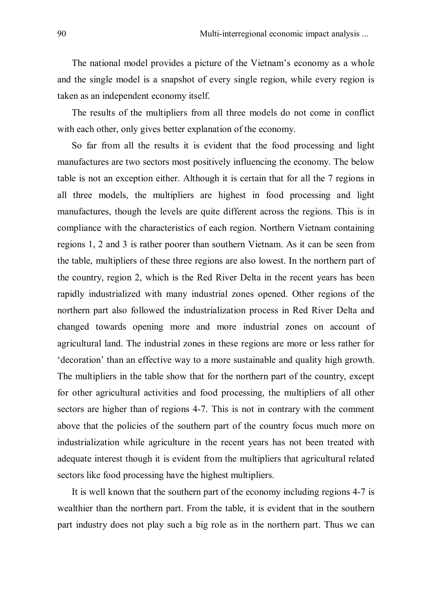The national model provides a picture of the Vietnam's economy as a whole and the single model is a snapshot of every single region, while every region is taken as an independent economy itself.

The results of the multipliers from all three models do not come in conflict with each other, only gives better explanation of the economy.

So far from all the results it is evident that the food processing and light manufactures are two sectors most positively influencing the economy. The below table is not an exception either. Although it is certain that for all the 7 regions in all three models, the multipliers are highest in food processing and light manufactures, though the levels are quite different across the regions. This is in compliance with the characteristics of each region. Northern Vietnam containing regions 1, 2 and 3 is rather poorer than southern Vietnam. As it can be seen from the table, multipliers of these three regions are also lowest. In the northern part of the country, region 2, which is the Red River Delta in the recent years has been rapidly industrialized with many industrial zones opened. Other regions of the northern part also followed the industrialization process in Red River Delta and changed towards opening more and more industrial zones on account of agricultural land. The industrial zones in these regions are more or less rather for 'decoration' than an effective way to a more sustainable and quality high growth. The multipliers in the table show that for the northern part of the country, except for other agricultural activities and food processing, the multipliers of all other sectors are higher than of regions 4-7. This is not in contrary with the comment above that the policies of the southern part of the country focus much more on industrialization while agriculture in the recent years has not been treated with adequate interest though it is evident from the multipliers that agricultural related sectors like food processing have the highest multipliers.

It is well known that the southern part of the economy including regions 4-7 is wealthier than the northern part. From the table, it is evident that in the southern part industry does not play such a big role as in the northern part. Thus we can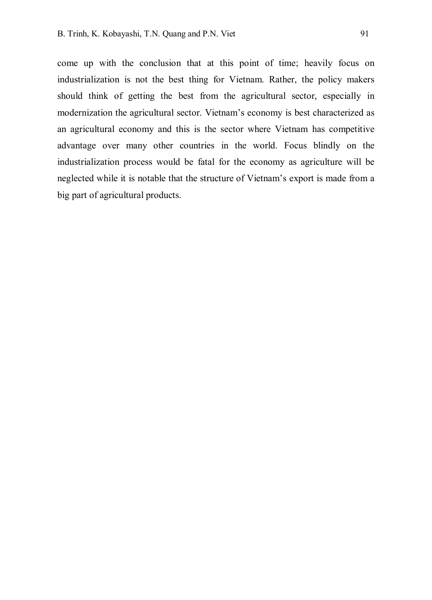come up with the conclusion that at this point of time; heavily focus on industrialization is not the best thing for Vietnam. Rather, the policy makers should think of getting the best from the agricultural sector, especially in modernization the agricultural sector. Vietnam's economy is best characterized as an agricultural economy and this is the sector where Vietnam has competitive advantage over many other countries in the world. Focus blindly on the industrialization process would be fatal for the economy as agriculture will be neglected while it is notable that the structure of Vietnam's export is made from a big part of agricultural products.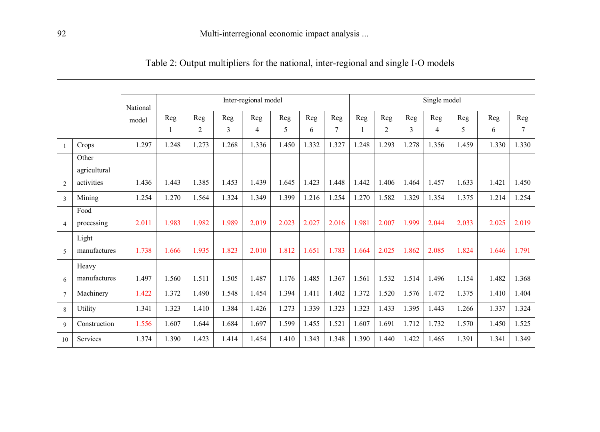| Table 2: Output multipliers for the national, inter-regional and single I-O models |
|------------------------------------------------------------------------------------|
|------------------------------------------------------------------------------------|

|                |                       | National |              |       |       | Inter-regional model |       |       |                |       |                |       | Single model   |       |       |       |
|----------------|-----------------------|----------|--------------|-------|-------|----------------------|-------|-------|----------------|-------|----------------|-------|----------------|-------|-------|-------|
|                |                       | model    | Reg          | Reg   | Reg   | Reg                  | Reg   | Reg   | Reg            | Reg   | Reg            | Reg   | Reg            | Reg   | Reg   | Reg   |
|                |                       |          | $\mathbf{1}$ | 2     | 3     | 4                    | 5     | 6     | $\overline{7}$ |       | $\overline{2}$ | 3     | $\overline{4}$ | 5     | 6     | 7     |
| $\mathbf{1}$   | Crops                 | 1.297    | 1.248        | 1.273 | 1.268 | 1.336                | 1.450 | 1.332 | 1.327          | 1.248 | 1.293          | 1.278 | 1.356          | 1.459 | 1.330 | 1.330 |
|                | Other<br>agricultural |          |              |       |       |                      |       |       |                |       |                |       |                |       |       |       |
| $\overline{2}$ | activities            | 1.436    | 1.443        | 1.385 | 1.453 | 1.439                | 1.645 | 1.423 | 1.448          | 1.442 | 1.406          | 1.464 | 1.457          | 1.633 | 1.421 | 1.450 |
| 3              | Mining                | 1.254    | 1.270        | 1.564 | 1.324 | 1.349                | 1.399 | 1.216 | 1.254          | 1.270 | 1.582          | 1.329 | 1.354          | 1.375 | 1.214 | 1.254 |
|                | Food                  |          |              |       |       |                      |       |       |                |       |                |       |                |       |       |       |
| $\overline{4}$ | processing            | 2.011    | 1.983        | 1.982 | 1.989 | 2.019                | 2.023 | 2.027 | 2.016          | 1.981 | 2.007          | 1.999 | 2.044          | 2.033 | 2.025 | 2.019 |
| 5              | Light<br>manufactures | 1.738    | 1.666        | 1.935 | 1.823 | 2.010                | 1.812 | 1.651 | 1.783          | 1.664 | 2.025          | 1.862 | 2.085          | 1.824 | 1.646 | 1.791 |
|                | Heavy                 |          |              |       |       |                      |       |       |                |       |                |       |                |       |       |       |
| 6              | manufactures          | 1.497    | 1.560        | 1.511 | 1.505 | 1.487                | 1.176 | 1.485 | 1.367          | 1.561 | 1.532          | 1.514 | 1.496          | 1.154 | 1.482 | 1.368 |
| $\tau$         | Machinery             | 1.422    | 1.372        | 1.490 | 1.548 | 1.454                | 1.394 | 1.411 | 1.402          | 1.372 | 1.520          | 1.576 | 1.472          | 1.375 | 1.410 | 1.404 |
| 8              | Utility               | 1.341    | 1.323        | 1.410 | 1.384 | 1.426                | 1.273 | 1.339 | 1.323          | 1.323 | 1.433          | 1.395 | 1.443          | 1.266 | 1.337 | 1.324 |
| 9              | Construction          | 1.556    | 1.607        | 1.644 | 1.684 | 1.697                | 1.599 | 1.455 | 1.521          | 1.607 | 1.691          | 1.712 | 1.732          | 1.570 | 1.450 | 1.525 |
| 10             | Services              | 1.374    | 1.390        | 1.423 | 1.414 | 1.454                | 1.410 | 1.343 | 1.348          | 1.390 | 1.440          | 1.422 | 1.465          | 1.391 | 1.341 | 1.349 |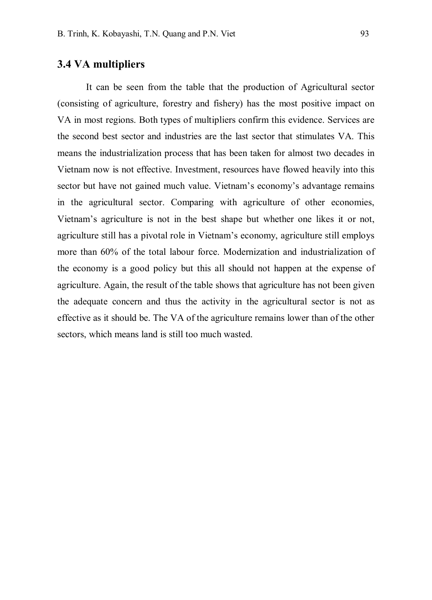#### **3.4 VA multipliers**

It can be seen from the table that the production of Agricultural sector (consisting of agriculture, forestry and fishery) has the most positive impact on VA in most regions. Both types of multipliers confirm this evidence. Services are the second best sector and industries are the last sector that stimulates VA. This means the industrialization process that has been taken for almost two decades in Vietnam now is not effective. Investment, resources have flowed heavily into this sector but have not gained much value. Vietnam's economy's advantage remains in the agricultural sector. Comparing with agriculture of other economies, Vietnam's agriculture is not in the best shape but whether one likes it or not, agriculture still has a pivotal role in Vietnam's economy, agriculture still employs more than 60% of the total labour force. Modernization and industrialization of the economy is a good policy but this all should not happen at the expense of agriculture. Again, the result of the table shows that agriculture has not been given the adequate concern and thus the activity in the agricultural sector is not as effective as it should be. The VA of the agriculture remains lower than of the other sectors, which means land is still too much wasted.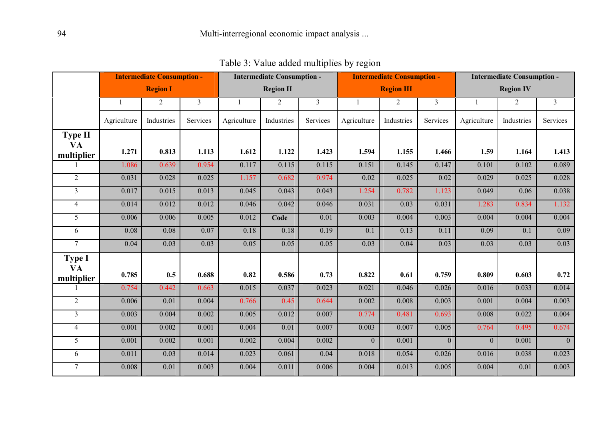|                                    | <b>Intermediate Consumption -</b> |                 |                | <b>Intermediate Consumption -</b> |                  |                |                | <b>Intermediate Consumption -</b> |                | <b>Intermediate Consumption -</b> |                  |                         |  |
|------------------------------------|-----------------------------------|-----------------|----------------|-----------------------------------|------------------|----------------|----------------|-----------------------------------|----------------|-----------------------------------|------------------|-------------------------|--|
|                                    |                                   | <b>Region I</b> |                |                                   | <b>Region II</b> |                |                | <b>Region III</b>                 |                |                                   | <b>Region IV</b> |                         |  |
|                                    | 1                                 | 2               | $\overline{3}$ | $\mathbf{1}$                      | 2                | $\overline{3}$ | $\overline{1}$ | 2                                 | $\overline{3}$ | $\mathbf{1}$                      | 2                | $\overline{\mathbf{3}}$ |  |
|                                    | Agriculture                       | Industries      | Services       | Agriculture                       | Industries       | Services       | Agriculture    | Industries                        | Services       | Agriculture                       | Industries       | Services                |  |
| <b>Type II</b><br>VA<br>multiplier | 1.271                             | 0.813           | 1.113          | 1.612                             | 1.122            | 1.423          | 1.594          | 1.155                             | 1.466          | 1.59                              | 1.164            | 1.413                   |  |
|                                    | 1.086                             | 0.639           | 0.954          | 0.117                             | 0.115            | 0.115          | 0.151          | 0.145                             | 0.147          | 0.101                             | 0.102            | 0.089                   |  |
| 2                                  | 0.031                             | 0.028           | 0.025          | 1.157                             | 0.682            | 0.974          | 0.02           | 0.025                             | 0.02           | 0.029                             | 0.025            | 0.028                   |  |
| 3                                  | 0.017                             | 0.015           | 0.013          | 0.045                             | 0.043            | 0.043          | 1.254          | 0.782                             | 1.123          | 0.049                             | 0.06             | 0.038                   |  |
| $\overline{4}$                     | 0.014                             | 0.012           | 0.012          | 0.046                             | 0.042            | 0.046          | 0.031          | 0.03                              | 0.031          | 1.283                             | 0.834            | 1.132                   |  |
| 5                                  | 0.006                             | 0.006           | 0.005          | 0.012                             | Code             | 0.01           | 0.003          | 0.004                             | 0.003          | 0.004                             | 0.004            | 0.004                   |  |
| 6                                  | 0.08                              | 0.08            | 0.07           | 0.18                              | 0.18             | 0.19           | 0.1            | 0.13                              | 0.11           | 0.09                              | 0.1              | 0.09                    |  |
| $\tau$                             | 0.04                              | 0.03            | 0.03           | 0.05                              | 0.05             | 0.05           | 0.03           | 0.04                              | 0.03           | 0.03                              | 0.03             | 0.03                    |  |
| <b>Type I</b><br>VA<br>multiplier  | 0.785                             | 0.5             | 0.688          | 0.82                              | 0.586            | 0.73           | 0.822          | 0.61                              | 0.759          | 0.809                             | 0.603            | 0.72                    |  |
|                                    | 0.754                             | 0.442           | 0.663          | 0.015                             | 0.037            | 0.023          | 0.021          | 0.046                             | 0.026          | 0.016                             | 0.033            | 0.014                   |  |
| $\overline{2}$                     | 0.006                             | 0.01            | 0.004          | 0.766                             | 0.45             | 0.644          | 0.002          | 0.008                             | 0.003          | 0.001                             | 0.004            | 0.003                   |  |
| $\overline{3}$                     | 0.003                             | 0.004           | 0.002          | 0.005                             | 0.012            | 0.007          | 0.774          | 0.481                             | 0.693          | 0.008                             | 0.022            | 0.004                   |  |
| $\overline{4}$                     | 0.001                             | 0.002           | 0.001          | 0.004                             | 0.01             | 0.007          | 0.003          | 0.007                             | 0.005          | 0.764                             | 0.495            | 0.674                   |  |
| 5                                  | 0.001                             | 0.002           | 0.001          | 0.002                             | 0.004            | 0.002          | $\Omega$       | 0.001                             | $\Omega$       | $\Omega$                          | 0.001            | $\overline{0}$          |  |
| 6                                  | 0.011                             | 0.03            | 0.014          | 0.023                             | 0.061            | 0.04           | 0.018          | 0.054                             | 0.026          | 0.016                             | 0.038            | 0.023                   |  |
| $\tau$                             | 0.008                             | 0.01            | 0.003          | 0.004                             | 0.011            | 0.006          | 0.004          | 0.013                             | 0.005          | 0.004                             | 0.01             | 0.003                   |  |

Table 3: Value added multiplỉes by region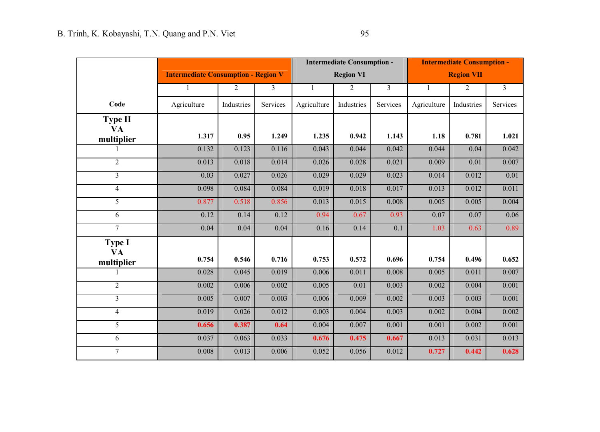|                         |                                            |            |          |              | <b>Intermediate Consumption -</b> |                | <b>Intermediate Consumption -</b> |                   |          |  |
|-------------------------|--------------------------------------------|------------|----------|--------------|-----------------------------------|----------------|-----------------------------------|-------------------|----------|--|
|                         | <b>Intermediate Consumption - Region V</b> |            |          |              | <b>Region VI</b>                  |                |                                   | <b>Region VII</b> |          |  |
|                         | $\mathbf{1}$                               | 2          | 3        | $\mathbf{1}$ | $\overline{2}$                    | $\overline{3}$ | $\mathbf{1}$                      | 2                 | 3        |  |
| Code                    | Agriculture                                | Industries | Services | Agriculture  | Industries                        | Services       | Agriculture                       | Industries        | Services |  |
| <b>Type II</b>          |                                            |            |          |              |                                   |                |                                   |                   |          |  |
| <b>VA</b><br>multiplier | 1.317                                      | 0.95       | 1.249    | 1.235        | 0.942                             | 1.143          | 1.18                              | 0.781             | 1.021    |  |
|                         | 0.132                                      | 0.123      | 0.116    | 0.043        | 0.044                             | 0.042          | 0.044                             | 0.04              | 0.042    |  |
| $\overline{2}$          | 0.013                                      | 0.018      | 0.014    | 0.026        | 0.028                             | 0.021          | 0.009                             | 0.01              | 0.007    |  |
| 3                       | 0.03                                       | 0.027      | 0.026    | 0.029        | 0.029                             | 0.023          | 0.014                             | 0.012             | 0.01     |  |
| $\overline{4}$          | 0.098                                      | 0.084      | 0.084    | 0.019        | 0.018                             | 0.017          | 0.013                             | 0.012             | 0.011    |  |
| 5                       | 0.877                                      | 0.518      | 0.856    | 0.013        | 0.015                             | 0.008          | 0.005                             | 0.005             | 0.004    |  |
| 6                       | 0.12                                       | 0.14       | 0.12     | 0.94         | 0.67                              | 0.93           | 0.07                              | 0.07              | 0.06     |  |
| $\overline{7}$          | 0.04                                       | 0.04       | 0.04     | 0.16         | 0.14                              | 0.1            | 1.03                              | 0.63              | 0.89     |  |
| <b>Type I</b>           |                                            |            |          |              |                                   |                |                                   |                   |          |  |
| <b>VA</b>               | 0.754                                      | 0.546      | 0.716    | 0.753        | 0.572                             | 0.696          | 0.754                             | 0.496             | 0.652    |  |
| multiplier              | 0.028                                      | 0.045      | 0.019    | 0.006        | 0.011                             | 0.008          | 0.005                             | 0.011             | 0.007    |  |
| $\overline{2}$          | 0.002                                      | 0.006      | 0.002    | 0.005        | 0.01                              | 0.003          | 0.002                             | 0.004             | 0.001    |  |
| 3                       | 0.005                                      | 0.007      | 0.003    | 0.006        | 0.009                             | 0.002          | 0.003                             | 0.003             | 0.001    |  |
| 4                       | 0.019                                      | 0.026      | 0.012    | 0.003        | 0.004                             | 0.003          | 0.002                             | 0.004             | 0.002    |  |
| 5                       | 0.656                                      | 0.387      |          |              | 0.007                             | 0.001          | 0.001                             | 0.002             | 0.001    |  |
|                         |                                            |            | 0.64     | 0.004        |                                   |                |                                   |                   |          |  |
| 6                       | 0.037                                      | 0.063      | 0.033    | 0.676        | 0.475                             | 0.667          | 0.013                             | 0.031             | 0.013    |  |
| $\overline{7}$          | 0.008                                      | 0.013      | 0.006    | 0.052        | 0.056                             | 0.012          | 0.727                             | 0.442             | 0.628    |  |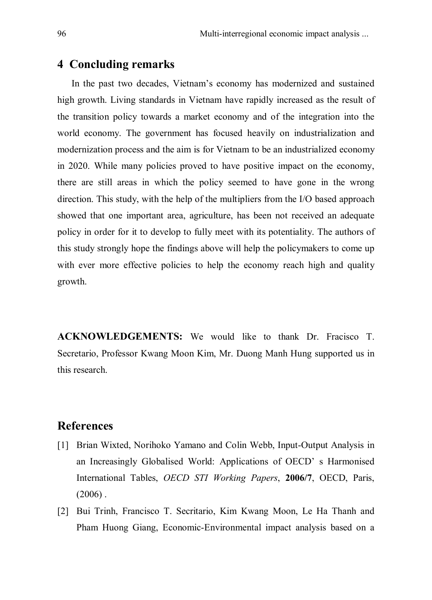#### **4 Concluding remarks**

In the past two decades, Vietnam's economy has modernized and sustained high growth. Living standards in Vietnam have rapidly increased as the result of the transition policy towards a market economy and of the integration into the world economy. The government has focused heavily on industrialization and modernization process and the aim is for Vietnam to be an industrialized economy in 2020. While many policies proved to have positive impact on the economy, there are still areas in which the policy seemed to have gone in the wrong direction. This study, with the help of the multipliers from the I/O based approach showed that one important area, agriculture, has been not received an adequate policy in order for it to develop to fully meet with its potentiality. The authors of this study strongly hope the findings above will help the policymakers to come up with ever more effective policies to help the economy reach high and quality growth.

**ACKNOWLEDGEMENTS:** We would like to thank Dr. Fracisco T. Secretario, Professor Kwang Moon Kim, Mr. Duong Manh Hung supported us in this research.

#### **References**

- [1] Brian Wixted, Norihoko Yamano and Colin Webb, Input-Output Analysis in an Increasingly Globalised World: Applications of OECD' s Harmonised International Tables, *OECD STI Working Papers*, **2006/7**, OECD, Paris,  $(2006)$ .
- [2] Bui Trinh, Francisco T. Secritario, Kim Kwang Moon, Le Ha Thanh and Pham Huong Giang, Economic-Environmental impact analysis based on a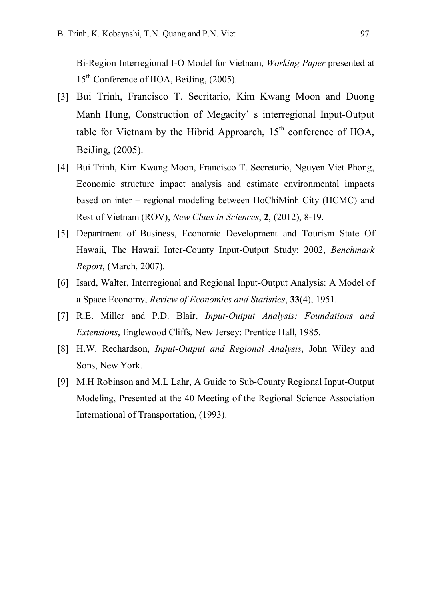Bi-Region Interregional I-O Model for Vietnam, *Working Paper* presented at 15<sup>th</sup> Conference of IIOA, BeiJing, (2005).

- [3] Bui Trinh, Francisco T. Secritario, Kim Kwang Moon and Duong Manh Hung, Construction of Megacity' s interregional Input-Output table for Vietnam by the Hibrid Approarch,  $15<sup>th</sup>$  conference of IIOA, BeiJing, (2005).
- [4] Bui Trinh, Kim Kwang Moon, Francisco T. Secretario, Nguyen Viet Phong, Economic structure impact analysis and estimate environmental impacts based on inter – regional modeling between HoChiMinh City (HCMC) and Rest of Vietnam (ROV), *New Clues in Sciences*, **2**, (2012), 8-19.
- [5] Department of Business, Economic Development and Tourism State Of Hawaii, The Hawaii Inter-County Input-Output Study: 2002, *Benchmark Report*, (March, 2007).
- [6] Isard, Walter, Interregional and Regional Input-Output Analysis: A Model of a Space Economy, *Review of Economics and Statistics*, **33**(4), 1951.
- [7] R.E. Miller and P.D. Blair, *Input-Output Analysis: Foundations and Extensions*, Englewood Cliffs, New Jersey: Prentice Hall, 1985.
- [8] H.W. Rechardson, *Input-Output and Regional Analysis*, John Wiley and Sons, New York.
- [9] M.H Robinson and M.L Lahr, A Guide to Sub-County Regional Input-Output Modeling, Presented at the 40 Meeting of the Regional Science Association International of Transportation, (1993).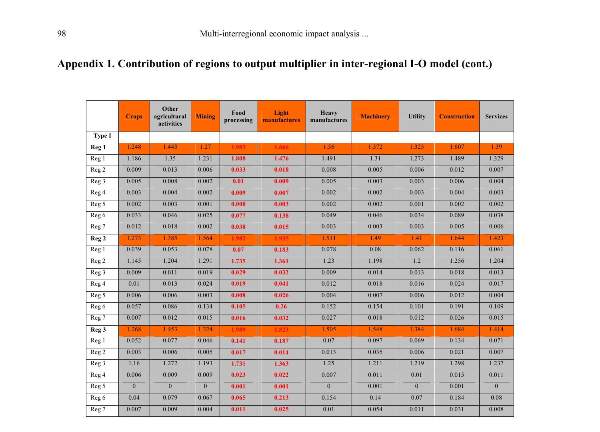# **Appendix 1. Contribution of regions to output multiplier in inter-regional I-O model (cont.)**

|                  | <b>Crops</b> | Other<br>agricultural<br>activities | <b>Mining</b>  | Food<br>processing | Light<br>manufactures | Heavy<br>manufactures | <b>Machinery</b> | <b>Utility</b> | <b>Construction</b> | <b>Services</b> |
|------------------|--------------|-------------------------------------|----------------|--------------------|-----------------------|-----------------------|------------------|----------------|---------------------|-----------------|
| <b>Type I</b>    |              |                                     |                |                    |                       |                       |                  |                |                     |                 |
| Reg <sub>1</sub> | 1.248        | 1.443                               | 1.27           | 1.983              | 1.666                 | 1.56                  | 1.372            | 1.323          | 1.607               | 1.39            |
| Reg 1            | 1.186        | 1.35                                | 1.231          | 1.808              | 1.476                 | 1.491                 | 1.31             | 1.273          | 1.489               | 1.329           |
| Reg <sub>2</sub> | 0.009        | 0.013                               | 0.006          | 0.033              | 0.018                 | 0.008                 | 0.005            | 0.006          | 0.012               | 0.007           |
| Reg <sub>3</sub> | 0.005        | 0.008                               | 0.002          | 0.01               | 0.009                 | 0.005                 | 0.003            | 0.003          | 0.006               | 0.004           |
| Reg 4            | 0.003        | 0.004                               | 0.002          | 0.009              | 0.007                 | 0.002                 | 0.002            | 0.003          | 0.004               | 0.003           |
| Reg 5            | 0.002        | 0.003                               | 0.001          | 0.008              | 0.003                 | 0.002                 | 0.002            | 0.001          | 0.002               | 0.002           |
| Reg 6            | 0.033        | 0.046                               | 0.025          | 0.077              | 0.138                 | 0.049                 | 0.046            | 0.034          | 0.089               | 0.038           |
| Reg 7            | 0.012        | 0.018                               | 0.002          | 0.038              | 0.015                 | 0.003                 | 0.003            | 0.003          | 0.005               | 0.006           |
| Reg <sub>2</sub> | 1.273        | 1.385                               | 1.564          | 1.982              | 1.935                 | 1.511                 | 1.49             | 1.41           | 1.644               | 1.423           |
| Reg 1            | 0.039        | 0.053                               | 0.078          | 0.07               | 0.183                 | 0.078                 | 0.08             | 0.062          | 0.116               | 0.061           |
| Reg <sub>2</sub> | 1.145        | 1.204                               | 1.291          | 1.735              | 1.361                 | 1.23                  | 1.198            | 1.2            | 1.256               | 1.204           |
| Reg <sub>3</sub> | 0.009        | 0.011                               | 0.019          | 0.029              | 0.032                 | 0.009                 | 0.014            | 0.013          | 0.018               | 0.013           |
| Reg 4            | 0.01         | 0.013                               | 0.024          | 0.019              | 0.041                 | 0.012                 | 0.018            | 0.016          | 0.024               | 0.017           |
| Reg 5            | 0.006        | 0.006                               | 0.003          | 0.008              | 0.026                 | 0.004                 | 0.007            | 0.006          | 0.012               | 0.004           |
| Reg 6            | 0.057        | 0.086                               | 0.134          | 0.105              | 0.26                  | 0.152                 | 0.154            | 0.101          | 0.191               | 0.109           |
| Reg 7            | 0.007        | 0.012                               | 0.015          | 0.016              | 0.032                 | 0.027                 | 0.018            | 0.012          | 0.026               | 0.015           |
| Reg <sub>3</sub> | 1.268        | 1.453                               | 1.324          | 1.989              | 1.823                 | 1.505                 | 1.548            | 1.384          | 1.684               | 1.414           |
| Reg 1            | 0.052        | 0.077                               | 0.046          | 0.141              | 0.187                 | 0.07                  | 0.097            | 0.069          | 0.134               | 0.071           |
| Reg <sub>2</sub> | 0.003        | 0.006                               | 0.005          | 0.017              | 0.014                 | 0.013                 | 0.035            | 0.006          | 0.021               | 0.007           |
| Reg <sub>3</sub> | 1.16         | 1.272                               | 1.193          | 1.731              | 1.363                 | 1.25                  | 1.211            | 1.219          | 1.298               | 1.237           |
| Reg 4            | 0.006        | 0.009                               | 0.009          | 0.023              | 0.022                 | 0.007                 | 0.011            | 0.01           | 0.015               | 0.011           |
| Reg 5            | $\mathbf{0}$ | $\Omega$                            | $\overline{0}$ | 0.001              | 0.001                 | $\theta$              | 0.001            | $\Omega$       | 0.001               | $\Omega$        |
| Reg 6            | 0.04         | 0.079                               | 0.067          | 0.065              | 0.213                 | 0.154                 | 0.14             | 0.07           | 0.184               | 0.08            |
| Reg 7            | 0.007        | 0.009                               | 0.004          | 0.011              | 0.025                 | 0.01                  | 0.054            | 0.011          | 0.031               | 0.008           |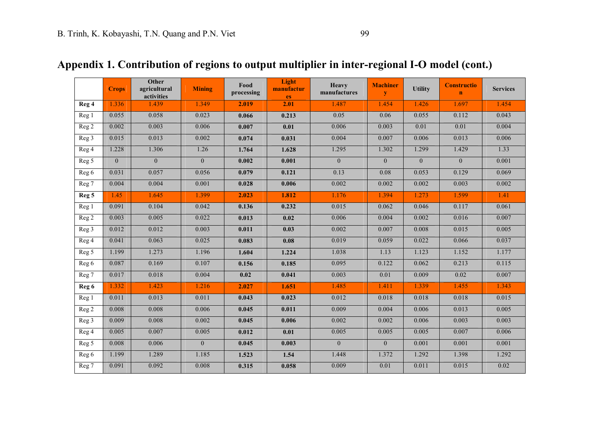|                    | <b>Crops</b>   | Other<br>agricultural<br>activities | <b>Mining</b> | Food<br>processing | Light<br>manufactur<br>es | <b>Heavy</b><br>manufactures | <b>Machiner</b><br>y | <b>Utility</b> | <b>Constructio</b><br>$\mathbf{n}$ | <b>Services</b> |
|--------------------|----------------|-------------------------------------|---------------|--------------------|---------------------------|------------------------------|----------------------|----------------|------------------------------------|-----------------|
| Reg 4              | 1.336          | 1.439                               | 1.349         | 2.019              | 2.01                      | 1.487                        | 1.454                | 1.426          | 1.697                              | 1.454           |
| Reg 1              | 0.055          | 0.058                               | 0.023         | 0.066              | 0.213                     | 0.05                         | 0.06                 | 0.055          | 0.112                              | 0.043           |
| Reg <sub>2</sub>   | 0.002          | 0.003                               | 0.006         | 0.007              | 0.01                      | 0.006                        | 0.003                | 0.01           | 0.01                               | 0.004           |
| Reg 3              | 0.015          | 0.013                               | 0.002         | 0.074              | 0.031                     | 0.004                        | 0.007                | 0.006          | 0.013                              | 0.006           |
| Reg 4              | 1.228          | 1.306                               | 1.26          | 1.764              | 1.628                     | 1.295                        | 1.302                | 1.299          | 1.429                              | 1.33            |
| Reg 5              | $\overline{0}$ | $\overline{0}$                      | $\mathbf{0}$  | 0.002              | 0.001                     | $\mathbf{0}$                 | $\overline{0}$       | $\overline{0}$ | $\mathbf{0}$                       | 0.001           |
| Reg 6              | 0.031          | 0.057                               | 0.056         | 0.079              | 0.121                     | 0.13                         | 0.08                 | 0.053          | 0.129                              | 0.069           |
| Reg 7              | 0.004          | 0.004                               | 0.001         | 0.028              | 0.006                     | 0.002                        | 0.002                | 0.002          | 0.003                              | 0.002           |
| Reg 5              | 1.45           | 1.645                               | 1.399         | 2.023              | 1.812                     | 1.176                        | 1.394                | 1.273          | 1.599                              | 1.41            |
| Reg 1              | 0.091          | 0.104                               | 0.042         | 0.136              | 0.232                     | 0.015                        | 0.062                | 0.046          | 0.117                              | 0.061           |
| Reg 2              | 0.003          | 0.005                               | 0.022         | 0.013              | 0.02                      | 0.006                        | 0.004                | 0.002          | 0.016                              | 0.007           |
| Reg 3              | 0.012          | 0.012                               | 0.003         | 0.011              | 0.03                      | 0.002                        | 0.007                | 0.008          | 0.015                              | 0.005           |
| Reg 4              | 0.041          | 0.063                               | 0.025         | 0.083              | 0.08                      | 0.019                        | 0.059                | 0.022          | 0.066                              | 0.037           |
| $\overline{Reg}$ 5 | 1.199          | 1.273                               | 1.196         | 1.604              | 1.224                     | 1.038                        | 1.13                 | 1.123          | 1.152                              | 1.177           |
| Reg 6              | 0.087          | 0.169                               | 0.107         | 0.156              | 0.185                     | 0.095                        | 0.122                | 0.062          | 0.213                              | 0.115           |
| Reg 7              | 0.017          | 0.018                               | 0.004         | 0.02               | 0.041                     | 0.003                        | 0.01                 | 0.009          | 0.02                               | 0.007           |
| Reg 6              | 1.332          | 1.423                               | 1.216         | 2.027              | 1.651                     | 1.485                        | 1.411                | 1.339          | 1.455                              | 1.343           |
| Reg 1              | 0.011          | 0.013                               | 0.011         | 0.043              | 0.023                     | 0.012                        | 0.018                | 0.018          | 0.018                              | 0.015           |
| Reg <sub>2</sub>   | 0.008          | 0.008                               | 0.006         | 0.045              | 0.011                     | 0.009                        | 0.004                | 0.006          | 0.013                              | 0.005           |
| Reg 3              | 0.009          | 0.008                               | 0.002         | 0.045              | 0.006                     | 0.002                        | 0.002                | 0.006          | 0.003                              | 0.003           |
| Reg 4              | 0.005          | 0.007                               | 0.005         | 0.012              | 0.01                      | 0.005                        | 0.005                | 0.005          | 0.007                              | 0.006           |
| Reg 5              | 0.008          | 0.006                               | $\mathbf{0}$  | 0.045              | 0.003                     | $\overline{0}$               | $\overline{0}$       | 0.001          | 0.001                              | 0.001           |
| Reg 6              | 1.199          | 1.289                               | 1.185         | 1.523              | 1.54                      | 1.448                        | 1.372                | 1.292          | 1.398                              | 1.292           |
| Reg 7              | 0.091          | 0.092                               | 0.008         | 0.315              | 0.058                     | 0.009                        | 0.01                 | 0.011          | 0.015                              | 0.02            |

# **Appendix 1. Contribution of regions to output multiplier in inter-regional I-O model (cont.)**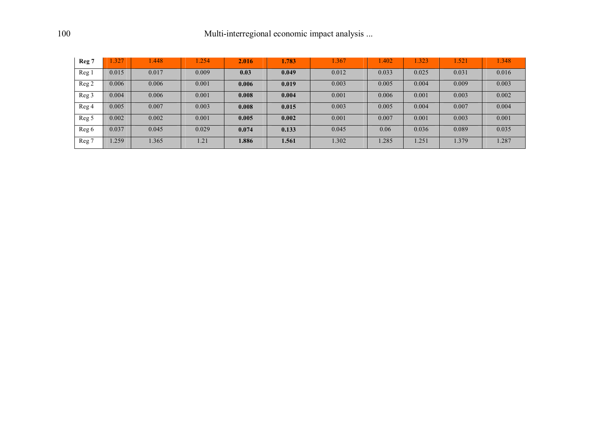| Reg 7 | 1.327 | .448  | .254  | 2.016 | 1.783 | 1.367 | 1.402 | 1.323 | $\sqrt{52}$ | .348  |
|-------|-------|-------|-------|-------|-------|-------|-------|-------|-------------|-------|
| Reg 1 | 0.015 | 0.017 | 0.009 | 0.03  | 0.049 | 0.012 | 0.033 | 0.025 | 0.031       | 0.016 |
| Reg 2 | 0.006 | 0.006 | 0.001 | 0.006 | 0.019 | 0.003 | 0.005 | 0.004 | 0.009       | 0.003 |
| Reg 3 | 0.004 | 0.006 | 0.001 | 0.008 | 0.004 | 0.001 | 0.006 | 0.001 | 0.003       | 0.002 |
| Reg 4 | 0.005 | 0.007 | 0.003 | 0.008 | 0.015 | 0.003 | 0.005 | 0.004 | 0.007       | 0.004 |
| Reg 5 | 0.002 | 0.002 | 0.001 | 0.005 | 0.002 | 0.001 | 0.007 | 0.001 | 0.003       | 0.001 |
| Reg 6 | 0.037 | 0.045 | 0.029 | 0.074 | 0.133 | 0.045 | 0.06  | 0.036 | 0.089       | 0.035 |
| Reg 7 | .259  | 1.365 | 1.21  | 1.886 | 1.561 | 1.302 | 1.285 | .251  | 1.379       | 1.287 |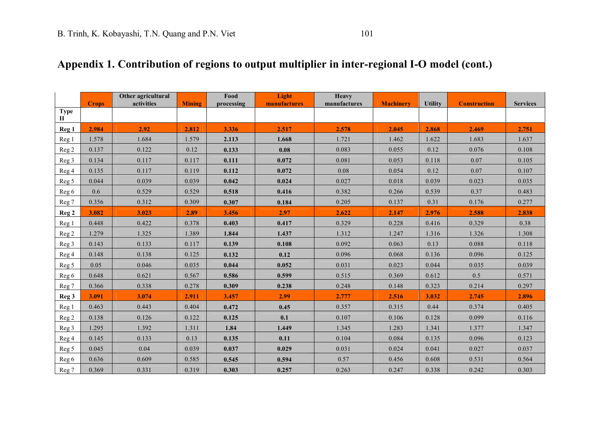|                             | <b>Crops</b> | Other agricultural<br>activities | <b>Mining</b> | Food<br>processing | Light<br>manufactures | Heavy<br>manufactures | <b>Machinery</b> | <b>Utility</b> | <b>Construction</b> | <b>Services</b> |
|-----------------------------|--------------|----------------------------------|---------------|--------------------|-----------------------|-----------------------|------------------|----------------|---------------------|-----------------|
| <b>Type</b><br>$\mathbf{I}$ |              |                                  |               |                    |                       |                       |                  |                |                     |                 |
| Reg <sub>1</sub>            | 2.984        | 2.92                             | 2.812         | 3.336              | 2.517                 | 2.578                 | 2.045            | 2.868          | 2.469               | 2.751           |
| Reg 1                       | 1.578        | 1.684                            | 1.579         | 2.113              | 1.668                 | 1.721                 | 1.462            | 1.622          | 1.683               | 1.637           |
| Reg <sub>2</sub>            | 0.137        | 0.122                            | 0.12          | 0.133              | 0.08                  | 0.083                 | 0.055            | 0.12           | 0.076               | 0.108           |
| Reg 3                       | 0.134        | 0.117                            | 0.117         | 0.111              | 0.072                 | 0.081                 | 0.053            | 0.118          | 0.07                | 0.105           |
| Reg 4                       | 0.135        | 0.117                            | 0.119         | 0.112              | 0.072                 | 0.08                  | 0.054            | 0.12           | 0.07                | 0.107           |
| Reg 5                       | 0.044        | 0.039                            | 0.039         | 0.042              | 0.024                 | 0.027                 | 0.018            | 0.039          | 0.023               | 0.035           |
| Reg 6                       | 0.6          | 0.529                            | 0.529         | 0.518              | 0.416                 | 0.382                 | 0.266            | 0.539          | 0.37                | 0.483           |
| Reg 7                       | 0.356        | 0.312                            | 0.309         | 0.307              | 0.184                 | 0.205                 | 0.137            | 0.31           | 0.176               | 0.277           |
| Reg <sub>2</sub>            | 3.082        | 3.023                            | 2.89          | 3.456              | 2.97                  | 2.622                 | 2.147            | 2.976          | 2.588               | 2.838           |
| Reg 1                       | 0.448        | 0.422                            | 0.378         | 0.403              | 0.417                 | 0.329                 | 0.228            | 0.416          | 0.329               | 0.38            |
| Reg <sub>2</sub>            | 1.279        | 1.325                            | 1.389         | 1.844              | 1.437                 | 1.312                 | 1.247            | 1.316          | 1.326               | 1.308           |
| Reg 3                       | 0.143        | 0.133                            | 0.117         | 0.139              | 0.108                 | 0.092                 | 0.063            | 0.13           | 0.088               | 0.118           |
| Reg 4                       | 0.148        | 0.138                            | 0.125         | 0.132              | 0.12                  | 0.096                 | 0.068            | 0.136          | 0.096               | 0.125           |
| Reg <sub>5</sub>            | 0.05         | 0.046                            | 0.035         | 0.044              | 0.052                 | 0.031                 | 0.023            | 0.044          | 0.035               | 0.039           |
| Reg 6                       | 0.648        | 0.621                            | 0.567         | 0.586              | 0.599                 | 0.515                 | 0.369            | 0.612          | 0.5                 | 0.571           |
| Reg 7                       | 0.366        | 0.338                            | 0.278         | 0.309              | 0.238                 | 0.248                 | 0.148            | 0.323          | 0.214               | 0.297           |
| Reg <sub>3</sub>            | 3.091        | 3.074                            | 2.911         | 3.457              | 2.99                  | 2.777                 | 2.516            | 3.032          | 2.745               | 2.896           |
| Reg 1                       | 0.463        | 0.443                            | 0.404         | 0.472              | 0.45                  | 0.357                 | 0.315            | 0.44           | 0.374               | 0.405           |
| Reg 2                       | 0.138        | 0.126                            | 0.122         | 0.125              | 0.1                   | 0.107                 | 0.106            | 0.128          | 0.099               | 0.116           |
| Reg <sub>3</sub>            | 1.295        | 1.392                            | 1.311         | 1.84               | 1.449                 | 1.345                 | 1.283            | 1.341          | 1.377               | 1.347           |
| Reg <sub>4</sub>            | 0.145        | 0.133                            | 0.13          | 0.135              | 0.11                  | 0.104                 | 0.084            | 0.135          | 0.096               | 0.123           |
| Reg 5                       | 0.045        | 0.04                             | 0.039         | 0.037              | 0.029                 | 0.031                 | 0.024            | 0.041          | 0.027               | 0.037           |
| Reg 6                       | 0.636        | 0.609                            | 0.585         | 0.545              | 0.594                 | 0.57                  | 0.456            | 0.608          | 0.531               | 0.564           |
| Reg 7                       | 0.369        | 0.331                            | 0.319         | 0.303              | 0.257                 | 0.263                 | 0.247            | 0.338          | 0.242               | 0.303           |

# **Appendix 1. Contribution of regions to output multiplier in inter-regional I-O model (cont.)**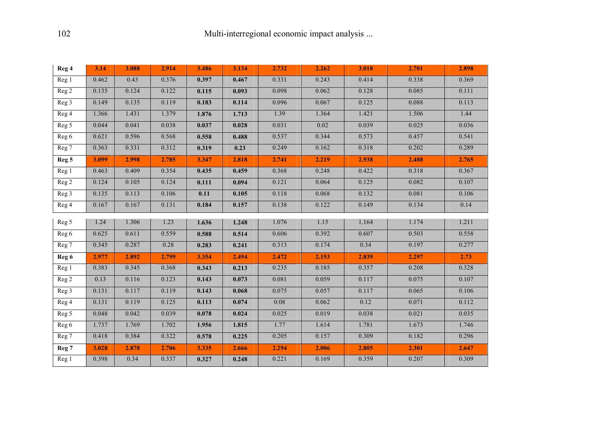| Reg 4            | 3.14  | 3.088 | 2.914 | 3.486 | 3.134 | 2.732 | 2.262 | 3.018 | 2.701 | 2.898 |
|------------------|-------|-------|-------|-------|-------|-------|-------|-------|-------|-------|
| Reg 1            | 0.462 | 0.43  | 0.376 | 0.397 | 0.467 | 0.331 | 0.243 | 0.414 | 0.338 | 0.369 |
| Reg 2            | 0.135 | 0.124 | 0.122 | 0.115 | 0.093 | 0.098 | 0.062 | 0.128 | 0.085 | 0.111 |
| Reg 3            | 0.149 | 0.135 | 0.119 | 0.183 | 0.114 | 0.096 | 0.067 | 0.125 | 0.088 | 0.113 |
| Reg 4            | 1.366 | 1.431 | 1.379 | 1.876 | 1.713 | 1.39  | 1.364 | 1.421 | 1.506 | 1.44  |
| Reg 5            | 0.044 | 0.041 | 0.038 | 0.037 | 0.028 | 0.031 | 0.02  | 0.039 | 0.025 | 0.036 |
| Reg 6            | 0.621 | 0.596 | 0.568 | 0.558 | 0.488 | 0.537 | 0.344 | 0.573 | 0.457 | 0.541 |
| Reg 7            | 0.363 | 0.331 | 0.312 | 0.319 | 0.23  | 0.249 | 0.162 | 0.318 | 0.202 | 0.289 |
| Reg <sub>5</sub> | 3.099 | 2.998 | 2.785 | 3.347 | 2.818 | 2.741 | 2.219 | 2.938 | 2.488 | 2.765 |
| Reg 1            | 0.463 | 0.409 | 0.354 | 0.435 | 0.459 | 0.368 | 0.248 | 0.422 | 0.318 | 0.367 |
| Reg 2            | 0.124 | 0.105 | 0.124 | 0.111 | 0.094 | 0.121 | 0.064 | 0.125 | 0.082 | 0.107 |
| Reg 3            | 0.135 | 0.113 | 0.106 | 0.11  | 0.105 | 0.118 | 0.068 | 0.132 | 0.081 | 0.106 |
| Reg 4            | 0.167 | 0.167 | 0.131 | 0.184 | 0.157 | 0.138 | 0.122 | 0.149 | 0.134 | 0.14  |
| Reg 5            | 1.24  | 1.306 | 1.23  | 1.636 | 1.248 | 1.076 | 1.15  | 1.164 | 1.174 | 1.211 |
| Reg 6            | 0.625 | 0.611 | 0.559 | 0.588 | 0.514 | 0.606 | 0.392 | 0.607 | 0.503 | 0.558 |
| Reg 7            | 0.345 | 0.287 | 0.28  | 0.283 | 0.241 | 0.313 | 0.174 | 0.34  | 0.197 | 0.277 |
| Reg 6            | 2.977 | 2.892 | 2.799 | 3.354 | 2.494 | 2.472 | 2.153 | 2.839 | 2.297 | 2.73  |
| Reg <sub>1</sub> | 0.383 | 0.345 | 0.368 | 0.343 | 0.213 | 0.235 | 0.185 | 0.357 | 0.208 | 0.328 |
| Reg 2            | 0.13  | 0.116 | 0.123 | 0.143 | 0.073 | 0.081 | 0.059 | 0.117 | 0.075 | 0.107 |
| Reg 3            | 0.131 | 0.117 | 0.119 | 0.143 | 0.068 | 0.075 | 0.057 | 0.117 | 0.065 | 0.106 |
| Reg 4            | 0.131 | 0.119 | 0.125 | 0.113 | 0.074 | 0.08  | 0.062 | 0.12  | 0.071 | 0.112 |
| Reg 5            | 0.048 | 0.042 | 0.039 | 0.078 | 0.024 | 0.025 | 0.019 | 0.038 | 0.021 | 0.035 |
| Reg 6            | 1.737 | 1.769 | 1.702 | 1.956 | 1.815 | 1.77  | 1.614 | 1.781 | 1.673 | 1.746 |
| Reg 7            | 0.418 | 0.384 | 0.322 | 0.578 | 0.225 | 0.205 | 0.157 | 0.309 | 0.182 | 0.296 |
| Reg 7            | 3.028 | 2.878 | 2.706 | 3.335 | 2.666 | 2.294 | 2.006 | 2.805 | 2.301 | 2.647 |
| Reg 1            | 0.398 | 0.34  | 0.337 | 0.327 | 0.248 | 0.221 | 0.169 | 0.359 | 0.207 | 0.309 |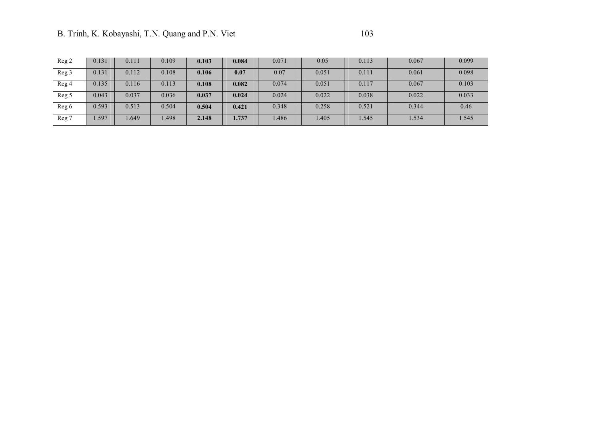| Reg <sub>2</sub> | 0.131 | 0.111 | 0.109 | 0.103 | 0.084 | 0.071 | 0.05  | 0.113 | 0.067 | 0.099 |
|------------------|-------|-------|-------|-------|-------|-------|-------|-------|-------|-------|
| Reg <sub>3</sub> | 0.131 | 0.112 | 0.108 | 0.106 | 0.07  | 0.07  | 0.051 | 0.111 | 0.061 | 0.098 |
| Reg 4            | 0.135 | 0.116 | 0.113 | 0.108 | 0.082 | 0.074 | 0.051 | 0.117 | 0.067 | 0.103 |
| Reg <sub>5</sub> | 0.043 | 0.037 | 0.036 | 0.037 | 0.024 | 0.024 | 0.022 | 0.038 | 0.022 | 0.033 |
| Reg 6            | 0.593 | 0.513 | 0.504 | 0.504 | 0.421 | 0.348 | 0.258 | 0.521 | 0.344 | 0.46  |
| Reg 7            | .597  | .649  | 1.498 | 2.148 | 1.737 | .486  | 1.405 | 1.545 | 1.534 | 1.545 |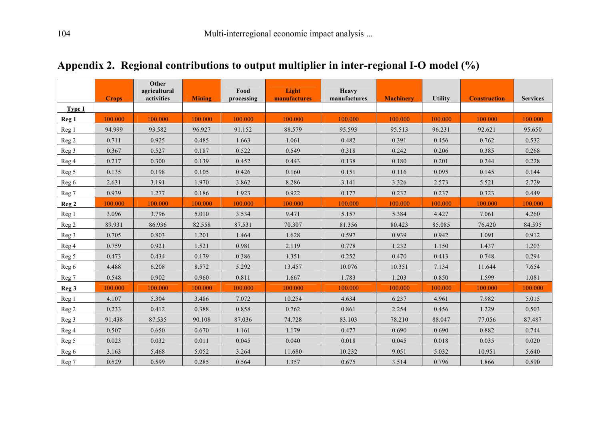|                  | <b>Crops</b> | Other<br>agricultural<br>activities | <b>Mining</b> | Food<br>processing | Light<br>manufactures | Heavy<br>manufactures | <b>Machinery</b> | <b>Utility</b> | <b>Construction</b> | <b>Services</b> |
|------------------|--------------|-------------------------------------|---------------|--------------------|-----------------------|-----------------------|------------------|----------------|---------------------|-----------------|
| <b>Type I</b>    |              |                                     |               |                    |                       |                       |                  |                |                     |                 |
| Reg <sub>1</sub> | 100.000      | 100.000                             | 100.000       | 100.000            | 100.000               | 100.000               | 100.000          | 100.000        | 100.000             | 100.000         |
| Reg <sub>1</sub> | 94.999       | 93.582                              | 96.927        | 91.152             | 88.579                | 95.593                | 95.513           | 96.231         | 92.621              | 95.650          |
| Reg <sub>2</sub> | 0.711        | 0.925                               | 0.485         | 1.663              | 1.061                 | 0.482                 | 0.391            | 0.456          | 0.762               | 0.532           |
| Reg 3            | 0.367        | 0.527                               | 0.187         | 0.522              | 0.549                 | 0.318                 | 0.242            | 0.206          | 0.385               | 0.268           |
| Reg 4            | 0.217        | 0.300                               | 0.139         | 0.452              | 0.443                 | 0.138                 | 0.180            | 0.201          | 0.244               | 0.228           |
| Reg 5            | 0.135        | 0.198                               | 0.105         | 0.426              | 0.160                 | 0.151                 | 0.116            | 0.095          | 0.145               | 0.144           |
| Reg 6            | 2.631        | 3.191                               | 1.970         | 3.862              | 8.286                 | 3.141                 | 3.326            | 2.573          | 5.521               | 2.729           |
| Reg 7            | 0.939        | 1.277                               | 0.186         | 1.923              | 0.922                 | 0.177                 | 0.232            | 0.237          | 0.323               | 0.449           |
| Reg <sub>2</sub> | 100.000      | 100.000                             | 100.000       | 100.000            | 100.000               | 100.000               | 100.000          | 100.000        | 100.000             | 100.000         |
| Reg 1            | 3.096        | 3.796                               | 5.010         | 3.534              | 9.471                 | 5.157                 | 5.384            | 4.427          | 7.061               | 4.260           |
| Reg <sub>2</sub> | 89.931       | 86.936                              | 82.558        | 87.531             | 70.307                | 81.356                | 80.423           | 85.085         | 76.420              | 84.595          |
| Reg 3            | 0.705        | 0.803                               | 1.201         | 1.464              | 1.628                 | 0.597                 | 0.939            | 0.942          | 1.091               | 0.912           |
| Reg 4            | 0.759        | 0.921                               | 1.521         | 0.981              | 2.119                 | 0.778                 | 1.232            | 1.150          | 1.437               | 1.203           |
| Reg 5            | 0.473        | 0.434                               | 0.179         | 0.386              | 1.351                 | 0.252                 | 0.470            | 0.413          | 0.748               | 0.294           |
| Reg 6            | 4.488        | 6.208                               | 8.572         | 5.292              | 13.457                | 10.076                | 10.351           | 7.134          | 11.644              | 7.654           |
| Reg 7            | 0.548        | 0.902                               | 0.960         | 0.811              | 1.667                 | 1.783                 | 1.203            | 0.850          | 1.599               | 1.081           |
| Reg <sub>3</sub> | 100.000      | 100.000                             | 100.000       | 100.000            | 100.000               | 100.000               | 100.000          | 100.000        | 100.000             | 100.000         |
| Reg 1            | 4.107        | 5.304                               | 3.486         | 7.072              | 10.254                | 4.634                 | 6.237            | 4.961          | 7.982               | 5.015           |
| Reg <sub>2</sub> | 0.233        | 0.412                               | 0.388         | 0.858              | 0.762                 | 0.861                 | 2.254            | 0.456          | 1.229               | 0.503           |
| Reg <sub>3</sub> | 91.438       | 87.535                              | 90.108        | 87.036             | 74.728                | 83.103                | 78.210           | 88.047         | 77.056              | 87.487          |
| Reg 4            | 0.507        | 0.650                               | 0.670         | 1.161              | 1.179                 | 0.477                 | 0.690            | 0.690          | 0.882               | 0.744           |
| Reg <sub>5</sub> | 0.023        | 0.032                               | 0.011         | 0.045              | 0.040                 | 0.018                 | 0.045            | 0.018          | 0.035               | 0.020           |
| Reg 6            | 3.163        | 5.468                               | 5.052         | 3.264              | 11.680                | 10.232                | 9.051            | 5.032          | 10.951              | 5.640           |
| Reg 7            | 0.529        | 0.599                               | 0.285         | 0.564              | 1.357                 | 0.675                 | 3.514            | 0.796          | 1.866               | 0.590           |

# **Appendix 2. Regional contributions to output multiplier in inter-regional I-O model (%)**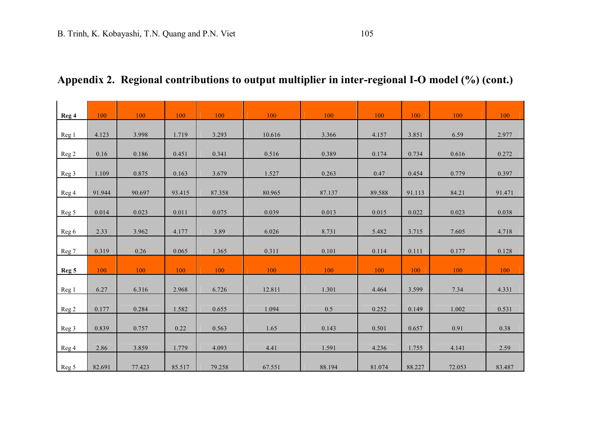# **Appendix 2. Regional contributions to output multiplier in inter-regional I-O model (%) (cont.)**

| Reg 4            | 100    | 100    | 100    | 100    | 100    | 100    | 100    | 100    | 100    | 100    |
|------------------|--------|--------|--------|--------|--------|--------|--------|--------|--------|--------|
| Reg 1            | 4.123  | 3.998  | 1.719  | 3.293  | 10.616 | 3.366  | 4.157  | 3.851  | 6.59   | 2.977  |
| Reg <sub>2</sub> | 0.16   | 0.186  | 0.451  | 0.341  | 0.516  | 0.389  | 0.174  | 0.734  | 0.616  | 0.272  |
| Reg 3            | 1.109  | 0.875  | 0.163  | 3.679  | 1.527  | 0.263  | 0.47   | 0.454  | 0.779  | 0.397  |
| Reg 4            | 91.944 | 90.697 | 93.415 | 87.358 | 80.965 | 87.137 | 89.588 | 91.113 | 84.21  | 91.471 |
| Reg 5            | 0.014  | 0.023  | 0.011  | 0.075  | 0.039  | 0.013  | 0.015  | 0.022  | 0.023  | 0.038  |
| Reg 6            | 2.33   | 3.962  | 4.177  | 3.89   | 6.026  | 8.731  | 5.482  | 3.715  | 7.605  | 4.718  |
| Reg 7            | 0.319  | 0.26   | 0.065  | 1.365  | 0.311  | 0.101  | 0.114  | 0.111  | 0.177  | 0.128  |
| Reg <sub>5</sub> | 100    | 100    | 100    | 100    | 100    | 100    | 100    | 100    | 100    | 100    |
| Reg 1            | 6.27   | 6.316  | 2.968  | 6.726  | 12.811 | 1.301  | 4.464  | 3.599  | 7.34   | 4.331  |
| Reg 2            | 0.177  | 0.284  | 1.582  | 0.655  | 1.094  | 0.5    | 0.252  | 0.149  | 1.002  | 0.531  |
| Reg <sub>3</sub> | 0.839  | 0.757  | 0.22   | 0.563  | 1.65   | 0.143  | 0.501  | 0.657  | 0.91   | 0.38   |
| Reg 4            | 2.86   | 3.859  | 1.779  | 4.093  | 4.41   | 1.591  | 4.236  | 1.755  | 4.141  | 2.59   |
| Reg 5            | 82.691 | 77.423 | 85.517 | 79.258 | 67.551 | 88.194 | 81.074 | 88.227 | 72.053 | 83.487 |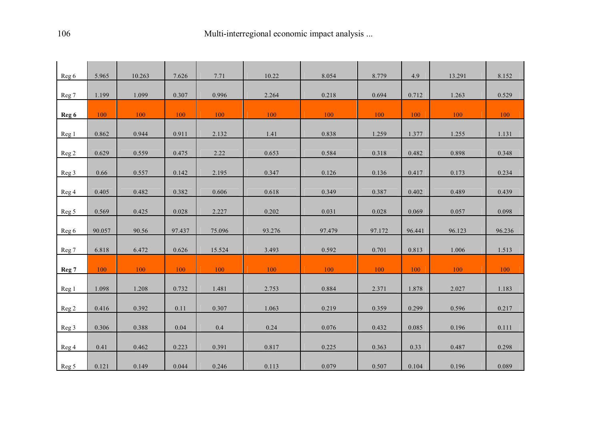| Reg 6 | 5.965  | 10.263 | 7.626  | 7.71   | 10.22  | 8.054  | 8.779  | 4.9    | 13.291 | 8.152  |
|-------|--------|--------|--------|--------|--------|--------|--------|--------|--------|--------|
| Reg 7 | 1.199  | 1.099  | 0.307  | 0.996  | 2.264  | 0.218  | 0.694  | 0.712  | 1.263  | 0.529  |
| Reg 6 | 100    | 100    | 100    | 100    | 100    | 100    | 100    | 100    | 100    | 100    |
| Reg 1 | 0.862  | 0.944  | 0.911  | 2.132  | 1.41   | 0.838  | 1.259  | 1.377  | 1.255  | 1.131  |
| Reg 2 | 0.629  | 0.559  | 0.475  | 2.22   | 0.653  | 0.584  | 0.318  | 0.482  | 0.898  | 0.348  |
| Reg 3 | 0.66   | 0.557  | 0.142  | 2.195  | 0.347  | 0.126  | 0.136  | 0.417  | 0.173  | 0.234  |
| Reg 4 | 0.405  | 0.482  | 0.382  | 0.606  | 0.618  | 0.349  | 0.387  | 0.402  | 0.489  | 0.439  |
| Reg 5 | 0.569  | 0.425  | 0.028  | 2.227  | 0.202  | 0.031  | 0.028  | 0.069  | 0.057  | 0.098  |
| Reg 6 | 90.057 | 90.56  | 97.437 | 75.096 | 93.276 | 97.479 | 97.172 | 96.441 | 96.123 | 96.236 |
| Reg 7 | 6.818  | 6.472  | 0.626  | 15.524 | 3.493  | 0.592  | 0.701  | 0.813  | 1.006  | 1.513  |
| Reg 7 | 100    | 100    | 100    | 100    | 100    | 100    | 100    | 100    | 100    | 100    |
| Reg 1 | 1.098  | 1.208  | 0.732  | 1.481  | 2.753  | 0.884  | 2.371  | 1.878  | 2.027  | 1.183  |
| Reg 2 | 0.416  | 0.392  | 0.11   | 0.307  | 1.063  | 0.219  | 0.359  | 0.299  | 0.596  | 0.217  |
| Reg 3 | 0.306  | 0.388  | 0.04   | 0.4    | 0.24   | 0.076  | 0.432  | 0.085  | 0.196  | 0.111  |
| Reg 4 | 0.41   | 0.462  | 0.223  | 0.391  | 0.817  | 0.225  | 0.363  | 0.33   | 0.487  | 0.298  |
| Reg 5 | 0.121  | 0.149  | 0.044  | 0.246  | 0.113  | 0.079  | 0.507  | 0.104  | 0.196  | 0.089  |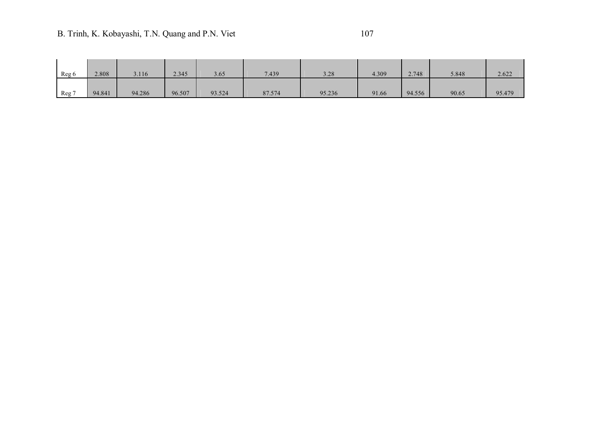# B. Trinh, K. Kobayashi, T.N. Quang and P.N. Viet 107

| Reg 6 | 2.808  | 3.116  | 2.345  | 3.65   | 7.439  | 3.28   | 4.309 | 2.748  | 5.848 | 2.622  |
|-------|--------|--------|--------|--------|--------|--------|-------|--------|-------|--------|
| Reg 7 | 94.841 | 94.286 | 96.507 | 93.524 | 87.574 | 95.236 | 91.66 | 94.556 | 90.65 | 95.479 |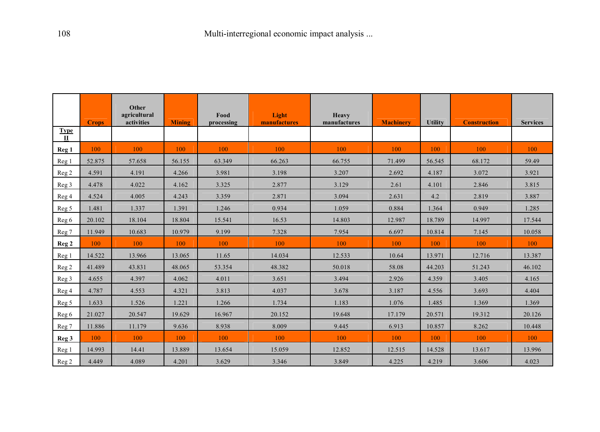|                      | <b>Crops</b> | Other<br>agricultural<br>activities | <b>Mining</b> | Food<br>processing | Light<br>manufactures | <b>Heavy</b><br>manufactures | <b>Machinery</b> | <b>Utility</b> | <b>Construction</b> | <b>Services</b> |
|----------------------|--------------|-------------------------------------|---------------|--------------------|-----------------------|------------------------------|------------------|----------------|---------------------|-----------------|
| Type<br>$\mathbf{I}$ |              |                                     |               |                    |                       |                              |                  |                |                     |                 |
| Reg <sub>1</sub>     | 100          | 100                                 | 100           | 100                | 100                   | 100                          | 100              | 100            | 100                 | 100             |
| Reg 1                | 52.875       | 57.658                              | 56.155        | 63.349             | 66.263                | 66.755                       | 71.499           | 56.545         | 68.172              | 59.49           |
| Reg 2                | 4.591        | 4.191                               | 4.266         | 3.981              | 3.198                 | 3.207                        | 2.692            | 4.187          | 3.072               | 3.921           |
| Reg <sub>3</sub>     | 4.478        | 4.022                               | 4.162         | 3.325              | 2.877                 | 3.129                        | 2.61             | 4.101          | 2.846               | 3.815           |
| Reg 4                | 4.524        | 4.005                               | 4.243         | 3.359              | 2.871                 | 3.094                        | 2.631            | 4.2            | 2.819               | 3.887           |
| Reg 5                | 1.481        | 1.337                               | 1.391         | 1.246              | 0.934                 | 1.059                        | 0.884            | 1.364          | 0.949               | 1.285           |
| Reg 6                | 20.102       | 18.104                              | 18.804        | 15.541             | 16.53                 | 14.803                       | 12.987           | 18.789         | 14.997              | 17.544          |
| Reg 7                | 11.949       | 10.683                              | 10.979        | 9.199              | 7.328                 | 7.954                        | 6.697            | 10.814         | 7.145               | 10.058          |
| Reg <sub>2</sub>     | 100          | 100                                 | 100           | 100                | 100                   | 100                          | 100              | 100            | 100                 | 100             |
| Reg <sub>1</sub>     | 14.522       | 13.966                              | 13.065        | 11.65              | 14.034                | 12.533                       | 10.64            | 13.971         | 12.716              | 13.387          |
| Reg <sub>2</sub>     | 41.489       | 43.831                              | 48.065        | 53.354             | 48.382                | 50.018                       | 58.08            | 44.203         | 51.243              | 46.102          |
| Reg <sub>3</sub>     | 4.655        | 4.397                               | 4.062         | 4.011              | 3.651                 | 3.494                        | 2.926            | 4.359          | 3.405               | 4.165           |
| Reg 4                | 4.787        | 4.553                               | 4.321         | 3.813              | 4.037                 | 3.678                        | 3.187            | 4.556          | 3.693               | 4.404           |
| Reg 5                | 1.633        | 1.526                               | 1.221         | 1.266              | 1.734                 | 1.183                        | 1.076            | 1.485          | 1.369               | 1.369           |
| Reg 6                | 21.027       | 20.547                              | 19.629        | 16.967             | 20.152                | 19.648                       | 17.179           | 20.571         | 19.312              | 20.126          |
| Reg 7                | 11.886       | 11.179                              | 9.636         | 8.938              | 8.009                 | 9.445                        | 6.913            | 10.857         | 8.262               | 10.448          |
| Reg <sub>3</sub>     | 100          | 100                                 | 100           | 100                | 100                   | 100                          | 100              | 100            | 100                 | 100             |
| Reg 1                | 14.993       | 14.41                               | 13.889        | 13.654             | 15.059                | 12.852                       | 12.515           | 14.528         | 13.617              | 13.996          |
| Reg 2                | 4.449        | 4.089                               | 4.201         | 3.629              | 3.346                 | 3.849                        | 4.225            | 4.219          | 3.606               | 4.023           |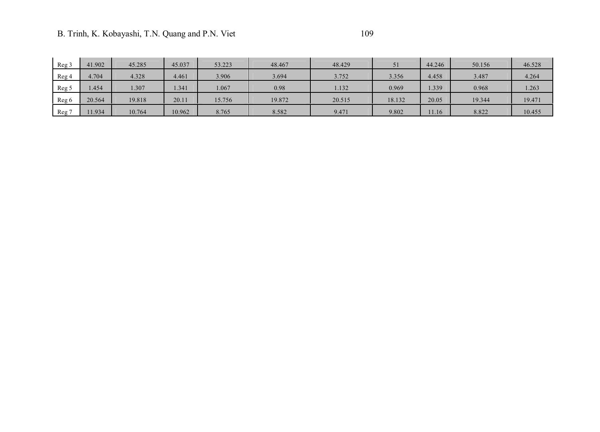| Reg 3 | 41.902 | 45.285 | 45.037 | 53.223 | 48.467 | 48.429 | 51     | 44.246 | 50.156 | 46.528 |
|-------|--------|--------|--------|--------|--------|--------|--------|--------|--------|--------|
| Reg 4 | 4.704  | 4.328  | 4.461  | 3.906  | 3.694  | 3.752  | 3.356  | 4.458  | 3.487  | 4.264  |
| Reg 5 | 1.454  | 1.307  | 1.341  | 1.067  | 0.98   | 1.132  | 0.969  | .339   | 0.968  | 1.263  |
| Reg 6 | 20.564 | 19.818 | 20.11  | 15.756 | 19.872 | 20.515 | 18.132 | 20.05  | 19.344 | 19.471 |
| Reg   | 1.934  | 10.764 | 10.962 | 8.765  | 8.582  | 9.471  | 9.802  | 11.16  | 8.822  | 10.455 |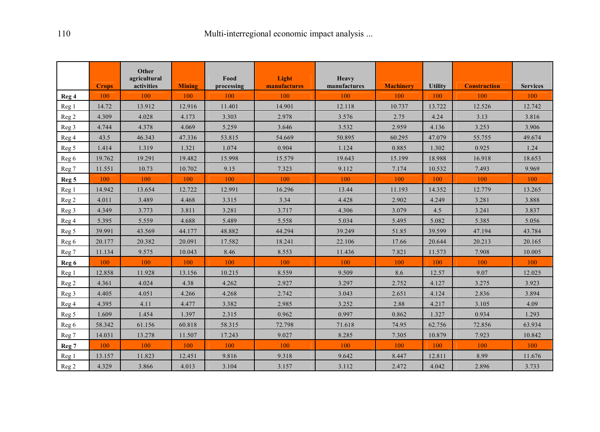|                  | <b>Crops</b> | Other<br>agricultural<br>activities | <b>Mining</b> | Food<br>processing | Light<br>manufactures | <b>Heavy</b><br>manufactures | <b>Machinery</b> | <b>Utility</b> | <b>Construction</b> | <b>Services</b> |
|------------------|--------------|-------------------------------------|---------------|--------------------|-----------------------|------------------------------|------------------|----------------|---------------------|-----------------|
| Reg 4            | 100          | 100                                 | 100           | 100                | 100                   | 100                          | 100              | 100            | 100                 | 100             |
| Reg <sub>1</sub> | 14.72        | 13.912                              | 12.916        | 11.401             | 14.901                | 12.118                       | 10.737           | 13.722         | 12.526              | 12.742          |
| Reg <sub>2</sub> | 4.309        | 4.028                               | 4.173         | 3.303              | 2.978                 | 3.576                        | 2.75             | 4.24           | 3.13                | 3.816           |
| Reg <sub>3</sub> | 4.744        | 4.378                               | 4.069         | 5.259              | 3.646                 | 3.532                        | 2.959            | 4.136          | 3.253               | 3.906           |
| Reg 4            | 43.5         | 46.343                              | 47.336        | 53.815             | 54.669                | 50.895                       | 60.295           | 47.079         | 55.755              | 49.674          |
| Reg 5            | 1.414        | 1.319                               | 1.321         | 1.074              | 0.904                 | 1.124                        | 0.885            | 1.302          | 0.925               | 1.24            |
| Reg 6            | 19.762       | 19.291                              | 19.482        | 15.998             | 15.579                | 19.643                       | 15.199           | 18.988         | 16.918              | 18.653          |
| Reg 7            | 11.551       | 10.73                               | 10.702        | 9.15               | 7.323                 | 9.112                        | 7.174            | 10.532         | 7.493               | 9.969           |
| Reg <sub>5</sub> | 100          | 100                                 | 100           | 100                | 100                   | 100                          | 100              | 100            | 100                 | 100             |
| Reg 1            | 14.942       | 13.654                              | 12.722        | 12.991             | 16.296                | 13.44                        | 11.193           | 14.352         | 12.779              | 13.265          |
| Reg <sub>2</sub> | 4.011        | 3.489                               | 4.468         | 3.315              | 3.34                  | 4.428                        | 2.902            | 4.249          | 3.281               | 3.888           |
| Reg 3            | 4.349        | 3.773                               | 3.811         | 3.281              | 3.717                 | 4.306                        | 3.079            | 4.5            | 3.241               | 3.837           |
| Reg 4            | 5.395        | 5.559                               | 4.688         | 5.489              | 5.558                 | 5.034                        | 5.495            | 5.082          | 5.385               | 5.056           |
| Reg 5            | 39.991       | 43.569                              | 44.177        | 48.882             | 44.294                | 39.249                       | 51.85            | 39.599         | 47.194              | 43.784          |
| Reg 6            | 20.177       | 20.382                              | 20.091        | 17.582             | 18.241                | 22.106                       | 17.66            | 20.644         | 20.213              | 20.165          |
| Reg 7            | 11.134       | 9.575                               | 10.043        | 8.46               | 8.553                 | 11.436                       | 7.821            | 11.573         | 7.908               | 10.005          |
| Reg 6            | 100          | 100                                 | 100           | 100                | 100                   | 100                          | 100              | 100            | 100                 | 100             |
| Reg 1            | 12.858       | 11.928                              | 13.156        | 10.215             | 8.559                 | 9.509                        | 8.6              | 12.57          | 9.07                | 12.025          |
| Reg <sub>2</sub> | 4.361        | 4.024                               | 4.38          | 4.262              | 2.927                 | 3.297                        | 2.752            | 4.127          | 3.275               | 3.923           |
| Reg 3            | 4.405        | 4.051                               | 4.266         | 4.268              | 2.742                 | 3.043                        | 2.651            | 4.124          | 2.836               | 3.894           |
| Reg 4            | 4.395        | 4.11                                | 4.477         | 3.382              | 2.985                 | 3.252                        | 2.88             | 4.217          | 3.105               | 4.09            |
| Reg 5            | 1.609        | 1.454                               | 1.397         | 2.315              | 0.962                 | 0.997                        | 0.862            | 1.327          | 0.934               | 1.293           |
| Reg 6            | 58.342       | 61.156                              | 60.818        | 58.315             | 72.798                | 71.618                       | 74.95            | 62.756         | 72.856              | 63.934          |
| Reg 7            | 14.031       | 13.278                              | 11.507        | 17.243             | 9.027                 | 8.285                        | 7.305            | 10.879         | 7.923               | 10.842          |
| Reg 7            | 100          | 100                                 | 100           | 100                | 100                   | 100                          | 100              | 100            | 100                 | 100             |
| Reg 1            | 13.157       | 11.823                              | 12.451        | 9.816              | 9.318                 | 9.642                        | 8.447            | 12.811         | 8.99                | 11.676          |
| Reg <sub>2</sub> | 4.329        | 3.866                               | 4.013         | 3.104              | 3.157                 | 3.112                        | 2.472            | 4.042          | 2.896               | 3.733           |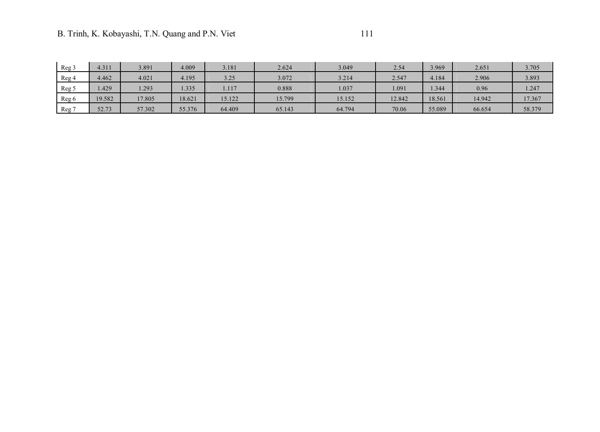| Reg 3   | 4.311  | 3.891  | 4.009  | 3.181  | 2.624  | 3.049  | 2.54   | 3.969  | 2.651  | 3.705  |
|---------|--------|--------|--------|--------|--------|--------|--------|--------|--------|--------|
| Reg 4   | 4.462  | 4.021  | 4.195  | 3.25   | 3.072  | 3.214  | 2.547  | 4.184  | 2.906  | 3.893  |
| Reg 5   | .429   | 1.293  | 1.335  | 1.117  | 0.888  | .037   | .091   | .344   | 0.96   | 1.247  |
| Reg 6   | 19.582 | 17.805 | 18.621 | 15.122 | 15.799 | 15.152 | 12.842 | 18.561 | 14.942 | 17.367 |
| $Reg$ 7 | 52.73  | 57.302 | 55.376 | 64.409 | 65.143 | 64.794 | 70.06  | 55.089 | 66.654 | 58.379 |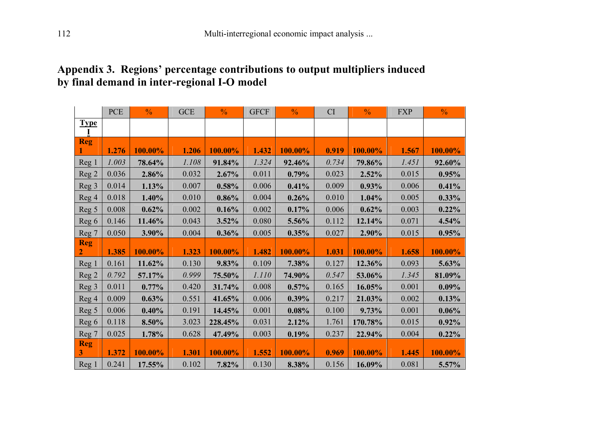### **Appendix 3. Regions' percentage contributions to output multipliers induced by final demand in inter-regional I-O model**

|                           | <b>PCE</b> | $\frac{0}{0}$ | GCE   | $\frac{0}{0}$ | <b>GFCF</b> | $\frac{0}{0}$ | CI    | $\frac{0}{0}$ | <b>FXP</b> | $\frac{0}{0}$ |
|---------------------------|------------|---------------|-------|---------------|-------------|---------------|-------|---------------|------------|---------------|
| <b>Type</b>               |            |               |       |               |             |               |       |               |            |               |
| <b>Reg</b>                | 1.276      | 100.00%       | 1.206 | 100.00%       | 1.432       | 100.00%       | 0.919 | 100.00%       | 1.567      | 100.00%       |
| Reg 1                     | 1.003      | 78.64%        | 1.108 | 91.84%        | 1.324       | 92.46%        | 0.734 | 79.86%        | 1.451      | 92.60%        |
| Reg 2                     | 0.036      | 2.86%         | 0.032 | 2.67%         | 0.011       | 0.79%         | 0.023 | 2.52%         | 0.015      | 0.95%         |
| Reg 3                     | 0.014      | 1.13%         | 0.007 | 0.58%         | 0.006       | 0.41%         | 0.009 | 0.93%         | 0.006      | 0.41%         |
| Reg 4                     | 0.018      | 1.40%         | 0.010 | 0.86%         | 0.004       | 0.26%         | 0.010 | 1.04%         | 0.005      | 0.33%         |
| Reg 5                     | 0.008      | 0.62%         | 0.002 | 0.16%         | 0.002       | 0.17%         | 0.006 | 0.62%         | 0.003      | 0.22%         |
| Reg 6                     | 0.146      | 11.46%        | 0.043 | 3.52%         | 0.080       | 5.56%         | 0.112 | 12.14%        | 0.071      | 4.54%         |
| Reg 7                     | 0.050      | 3.90%         | 0.004 | 0.36%         | 0.005       | 0.35%         | 0.027 | 2.90%         | 0.015      | 0.95%         |
|                           |            |               |       |               |             |               |       |               |            |               |
| <b>Reg</b>                | 1.385      | 100.00%       | 1.323 | 100.00%       | 1.482       | 100.00%       | 1.031 | 100.00%       | 1.658      | 100.00%       |
|                           | 0.161      | 11.62%        | 0.130 | 9.83%         | 0.109       | 7.38%         | 0.127 | 12.36%        | 0.093      | 5.63%         |
| Reg <sub>1</sub><br>Reg 2 | 0.792      | 57.17%        | 0.999 | 75.50%        | 1.110       | 74.90%        | 0.547 | 53.06%        | 1.345      | 81.09%        |
| Reg 3                     | 0.011      | 0.77%         | 0.420 | 31.74%        | 0.008       | 0.57%         | 0.165 | 16.05%        | 0.001      | $0.09\%$      |
| Reg 4                     | 0.009      | 0.63%         | 0.551 | 41.65%        | 0.006       | 0.39%         | 0.217 | 21.03%        | 0.002      | 0.13%         |
| Reg 5                     | 0.006      | 0.40%         | 0.191 | 14.45%        | 0.001       | 0.08%         | 0.100 | 9.73%         | 0.001      | 0.06%         |
| Reg 6                     | 0.118      | 8.50%         | 3.023 | 228.45%       | 0.031       | 2.12%         | 1.761 | 170.78%       | 0.015      | 0.92%         |
| Reg 7                     | 0.025      | 1.78%         | 0.628 | 47.49%        | 0.003       | 0.19%         | 0.237 | 22.94%        | 0.004      | 0.22%         |
| <b>Reg</b><br>3           | 1.372      | 100.00%       | 1.301 | 100.00%       | 1.552       | 100.00%       | 0.969 | 100.00%       | 1.445      | 100.00%       |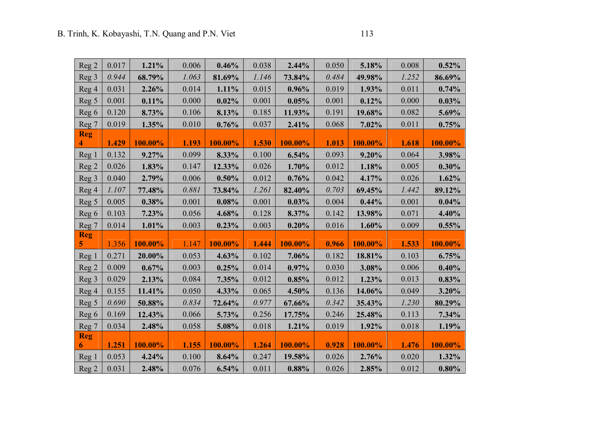| Reg <sub>2</sub> | 0.017 | 1.21%   | 0.006 | 0.46%   | 0.038 | 2.44%   | 0.050 | 5.18%   | 0.008 | 0.52%   |
|------------------|-------|---------|-------|---------|-------|---------|-------|---------|-------|---------|
| Reg 3            | 0.944 | 68.79%  | 1.063 | 81.69%  | 1.146 | 73.84%  | 0.484 | 49.98%  | 1.252 | 86.69%  |
| Reg 4            | 0.031 | 2.26%   | 0.014 | 1.11%   | 0.015 | 0.96%   | 0.019 | 1.93%   | 0.011 | 0.74%   |
| Reg 5            | 0.001 | 0.11%   | 0.000 | 0.02%   | 0.001 | 0.05%   | 0.001 | 0.12%   | 0.000 | 0.03%   |
| Reg 6            | 0.120 | 8.73%   | 0.106 | 8.13%   | 0.185 | 11.93%  | 0.191 | 19.68%  | 0.082 | 5.69%   |
| Reg 7            | 0.019 | 1.35%   | 0.010 | 0.76%   | 0.037 | 2.41%   | 0.068 | 7.02%   | 0.011 | 0.75%   |
| <b>Reg</b>       |       |         |       |         |       |         |       |         |       |         |
| 4                | 1.429 | 100.00% | 1.193 | 100.00% | 1.530 | 100.00% | 1.013 | 100.00% | 1.618 | 100.00% |
| Reg 1            | 0.132 | 9.27%   | 0.099 | 8.33%   | 0.100 | 6.54%   | 0.093 | 9.20%   | 0.064 | 3.98%   |
| Reg <sub>2</sub> | 0.026 | 1.83%   | 0.147 | 12.33%  | 0.026 | 1.70%   | 0.012 | 1.18%   | 0.005 | 0.30%   |
| Reg 3            | 0.040 | 2.79%   | 0.006 | 0.50%   | 0.012 | 0.76%   | 0.042 | 4.17%   | 0.026 | 1.62%   |
| Reg 4            | 1.107 | 77.48%  | 0.881 | 73.84%  | 1.261 | 82.40%  | 0.703 | 69.45%  | 1.442 | 89.12%  |
| Reg 5            | 0.005 | 0.38%   | 0.001 | 0.08%   | 0.001 | 0.03%   | 0.004 | 0.44%   | 0.001 | 0.04%   |
| Reg 6            | 0.103 | 7.23%   | 0.056 | 4.68%   | 0.128 | 8.37%   | 0.142 | 13.98%  | 0.071 | 4.40%   |
| Reg 7            | 0.014 | 1.01%   | 0.003 | 0.23%   | 0.003 | 0.20%   | 0.016 | 1.60%   | 0.009 | 0.55%   |
| <b>Reg</b>       |       |         |       |         |       |         |       |         |       |         |
| 5                | 1.356 | 100.00% | 1.147 | 100.00% | 1.444 | 100.00% | 0.966 | 100.00% | 1.533 | 100.00% |
| Reg 1            | 0.271 | 20.00%  | 0.053 | 4.63%   | 0.102 | 7.06%   | 0.182 | 18.81%  | 0.103 | 6.75%   |
| Reg <sub>2</sub> | 0.009 | 0.67%   | 0.003 | 0.25%   | 0.014 | 0.97%   | 0.030 | 3.08%   | 0.006 | 0.40%   |
| Reg 3            | 0.029 | 2.13%   | 0.084 | 7.35%   | 0.012 | 0.85%   | 0.012 | 1.23%   | 0.013 | 0.83%   |
| Reg 4            | 0.155 | 11.41%  | 0.050 | 4.33%   | 0.065 | 4.50%   | 0.136 | 14.06%  | 0.049 | 3.20%   |
| Reg 5            | 0.690 | 50.88%  | 0.834 | 72.64%  | 0.977 | 67.66%  | 0.342 | 35.43%  | 1.230 | 80.29%  |
| Reg 6            | 0.169 | 12.43%  | 0.066 | 5.73%   | 0.256 | 17.75%  | 0.246 | 25.48%  | 0.113 | 7.34%   |
| Reg 7            | 0.034 | 2.48%   | 0.058 | 5.08%   | 0.018 | 1.21%   | 0.019 | 1.92%   | 0.018 | 1.19%   |
| <b>Reg</b>       |       |         |       |         |       |         |       |         |       |         |
| 6                | 1.251 | 100.00% | 1.155 | 100.00% | 1.264 | 100.00% | 0.928 | 100.00% | 1.476 | 100.00% |
| Reg 1            | 0.053 | 4.24%   | 0.100 | 8.64%   | 0.247 | 19.58%  | 0.026 | 2.76%   | 0.020 | 1.32%   |
| Reg <sub>2</sub> | 0.031 | 2.48%   | 0.076 | 6.54%   | 0.011 | 0.88%   | 0.026 | 2.85%   | 0.012 | 0.80%   |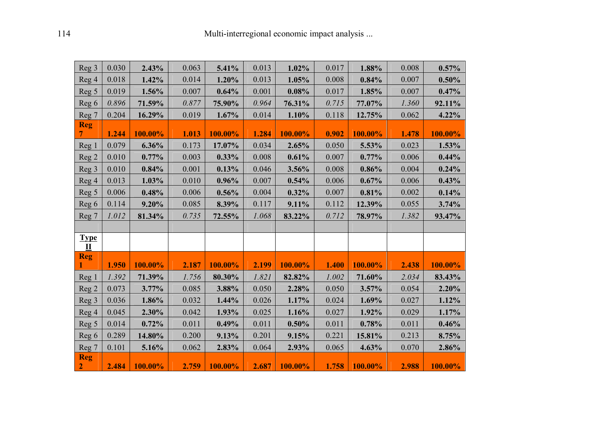| Reg 3                      | 0.030 | 2.43%   | 0.063 | 5.41%   | 0.013 | 1.02%   | 0.017 | 1.88%   | 0.008 | 0.57%      |
|----------------------------|-------|---------|-------|---------|-------|---------|-------|---------|-------|------------|
| Reg 4                      | 0.018 | 1.42%   | 0.014 | 1.20%   | 0.013 | 1.05%   | 0.008 | 0.84%   | 0.007 | 0.50%      |
| Reg 5                      | 0.019 | 1.56%   | 0.007 | 0.64%   | 0.001 | 0.08%   | 0.017 | 1.85%   | 0.007 | 0.47%      |
| Reg 6                      | 0.896 | 71.59%  | 0.877 | 75.90%  | 0.964 | 76.31%  | 0.715 | 77.07%  | 1.360 | 92.11%     |
| Reg 7                      | 0.204 | 16.29%  | 0.019 | 1.67%   | 0.014 | 1.10%   | 0.118 | 12.75%  | 0.062 | 4.22%      |
| <b>Reg</b><br>7.           | 1.244 | 100.00% | 1.013 | 100.00% | 1.284 | 100.00% | 0.902 | 100.00% | 1.478 | 100.00%    |
| Reg 1                      | 0.079 | 6.36%   | 0.173 | 17.07%  | 0.034 | 2.65%   | 0.050 | 5.53%   | 0.023 | 1.53%      |
| Reg 2                      | 0.010 | 0.77%   | 0.003 | 0.33%   | 0.008 | 0.61%   | 0.007 | 0.77%   | 0.006 | 0.44%      |
| Reg 3                      | 0.010 | 0.84%   | 0.001 | 0.13%   | 0.046 | 3.56%   | 0.008 | 0.86%   | 0.004 | 0.24%      |
| Reg 4                      | 0.013 | 1.03%   | 0.010 | 0.96%   | 0.007 | 0.54%   | 0.006 | 0.67%   | 0.006 | 0.43%      |
| Reg 5                      | 0.006 | 0.48%   | 0.006 | 0.56%   | 0.004 | 0.32%   | 0.007 | 0.81%   | 0.002 | 0.14%      |
| Reg 6                      | 0.114 | 9.20%   | 0.085 | 8.39%   | 0.117 | 9.11%   | 0.112 | 12.39%  | 0.055 | 3.74%      |
| Reg 7                      | 1.012 | 81.34%  | 0.735 | 72.55%  | 1.068 | 83.22%  | 0.712 | 78.97%  | 1.382 | 93.47%     |
|                            |       |         |       |         |       |         |       |         |       |            |
| <b>Type</b><br>$\mathbf I$ |       |         |       |         |       |         |       |         |       |            |
| <b>Reg</b>                 |       |         |       |         |       |         |       |         |       |            |
|                            | 1.950 | 100.00% | 2.187 | 100.00% | 2.199 | 100.00% | 1.400 | 100.00% | 2.438 | 100.00%    |
| Reg 1                      | 1.392 | 71.39%  | 1.756 | 80.30%  | 1.821 | 82.82%  | 1.002 | 71.60%  | 2.034 | 83.43%     |
| Reg <sub>2</sub>           | 0.073 | 3.77%   | 0.085 | 3.88%   | 0.050 | 2.28%   | 0.050 | 3.57%   | 0.054 | 2.20%      |
| Reg 3                      | 0.036 | 1.86%   | 0.032 | 1.44%   | 0.026 | 1.17%   | 0.024 | 1.69%   | 0.027 | 1.12%      |
| Reg 4                      | 0.045 | 2.30%   | 0.042 | 1.93%   | 0.025 | 1.16%   | 0.027 | 1.92%   | 0.029 | 1.17%      |
| Reg 5                      | 0.014 | 0.72%   | 0.011 | 0.49%   | 0.011 | 0.50%   | 0.011 | 0.78%   | 0.011 | 0.46%      |
| Reg 6                      | 0.289 | 14.80%  | 0.200 | 9.13%   | 0.201 | 9.15%   | 0.221 | 15.81%  | 0.213 | 8.75%      |
| Reg 7                      | 0.101 | 5.16%   | 0.062 | 2.83%   | 0.064 | 2.93%   | 0.065 | 4.63%   | 0.070 | 2.86%      |
| <b>Reg</b><br>$\mathbf{2}$ | 2.484 | 100.00% | 2.759 | 100.00% | 2.687 | 100.00% | 1.758 | 100.00% | 2.988 | $100.00\%$ |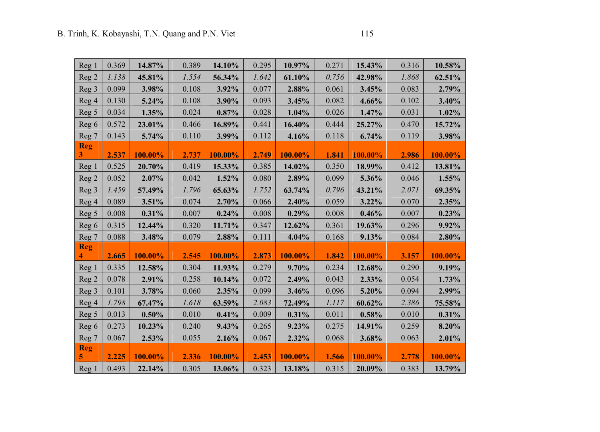| Reg 1            | 0.369 | 14.87%  | 0.389 | 14.10%  | 0.295 | 10.97%  | 0.271 | 15.43%  | 0.316 | 10.58%  |
|------------------|-------|---------|-------|---------|-------|---------|-------|---------|-------|---------|
| Reg <sub>2</sub> | 1.138 | 45.81%  | 1.554 | 56.34%  | 1.642 | 61.10%  | 0.756 | 42.98%  | 1.868 | 62.51%  |
| Reg <sub>3</sub> | 0.099 | 3.98%   | 0.108 | 3.92%   | 0.077 | 2.88%   | 0.061 | 3.45%   | 0.083 | 2.79%   |
| Reg 4            | 0.130 | 5.24%   | 0.108 | 3.90%   | 0.093 | 3.45%   | 0.082 | 4.66%   | 0.102 | 3.40%   |
| Reg 5            | 0.034 | 1.35%   | 0.024 | 0.87%   | 0.028 | 1.04%   | 0.026 | 1.47%   | 0.031 | 1.02%   |
| Reg 6            | 0.572 | 23.01%  | 0.466 | 16.89%  | 0.441 | 16.40%  | 0.444 | 25.27%  | 0.470 | 15.72%  |
| Reg 7            | 0.143 | 5.74%   | 0.110 | 3.99%   | 0.112 | 4.16%   | 0.118 | 6.74%   | 0.119 | 3.98%   |
| <b>Reg</b><br>3  | 2.537 | 100.00% | 2.737 | 100.00% | 2.749 | 100.00% | 1.841 | 100.00% | 2.986 | 100.00% |
| Reg 1            | 0.525 | 20.70%  | 0.419 | 15.33%  | 0.385 | 14.02%  | 0.350 | 18.99%  | 0.412 | 13.81%  |
| Reg <sub>2</sub> | 0.052 | 2.07%   | 0.042 | 1.52%   | 0.080 | 2.89%   | 0.099 | 5.36%   | 0.046 | 1.55%   |
| Reg 3            | 1.459 | 57.49%  | 1.796 | 65.63%  | 1.752 | 63.74%  | 0.796 | 43.21%  | 2.071 | 69.35%  |
| Reg 4            | 0.089 | 3.51%   | 0.074 | 2.70%   | 0.066 | 2.40%   | 0.059 | 3.22%   | 0.070 | 2.35%   |
| Reg 5            | 0.008 | 0.31%   | 0.007 | 0.24%   | 0.008 | 0.29%   | 0.008 | 0.46%   | 0.007 | 0.23%   |
| Reg 6            | 0.315 | 12.44%  | 0.320 | 11.71%  | 0.347 | 12.62%  | 0.361 | 19.63%  | 0.296 | 9.92%   |
| Reg 7            | 0.088 | 3.48%   | 0.079 | 2.88%   | 0.111 | 4.04%   | 0.168 | 9.13%   | 0.084 | 2.80%   |
| <b>Reg</b><br>4  | 2.665 | 100.00% | 2.545 | 100.00% | 2.873 | 100.00% | 1.842 | 100.00% | 3.157 | 100.00% |
| Reg 1            | 0.335 | 12.58%  | 0.304 | 11.93%  | 0.279 | 9.70%   | 0.234 | 12.68%  | 0.290 | 9.19%   |
| Reg 2            | 0.078 | 2.91%   | 0.258 | 10.14%  | 0.072 | 2.49%   | 0.043 | 2.33%   | 0.054 | 1.73%   |
| Reg 3            | 0.101 | 3.78%   | 0.060 | 2.35%   | 0.099 | 3.46%   | 0.096 | 5.20%   | 0.094 | 2.99%   |
| Reg 4            | 1.798 | 67.47%  | 1.618 | 63.59%  | 2.083 | 72.49%  | 1.117 | 60.62%  | 2.386 | 75.58%  |
| Reg 5            | 0.013 | 0.50%   | 0.010 | 0.41%   | 0.009 | 0.31%   | 0.011 | 0.58%   | 0.010 | 0.31%   |
| Reg 6            | 0.273 | 10.23%  | 0.240 | 9.43%   | 0.265 | 9.23%   | 0.275 | 14.91%  | 0.259 | 8.20%   |
| Reg 7            | 0.067 | 2.53%   | 0.055 | 2.16%   | 0.067 | 2.32%   | 0.068 | 3.68%   | 0.063 | 2.01%   |
| <b>Reg</b><br>5  | 2.225 | 100.00% | 2.336 | 100.00% | 2.453 | 100.00% | 1.566 | 100.00% | 2.778 | 100.00% |
| Reg 1            | 0.493 | 22.14%  | 0.305 | 13.06%  | 0.323 | 13.18%  | 0.315 | 20.09%  | 0.383 | 13.79%  |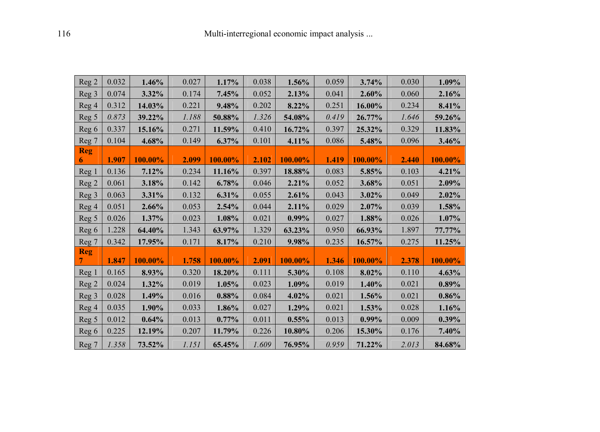| Reg 2           | 0.032 | 1.46%   | 0.027 | 1.17%   | 0.038 | 1.56%    | 0.059 | 3.74%    | 0.030 | 1.09%   |
|-----------------|-------|---------|-------|---------|-------|----------|-------|----------|-------|---------|
| Reg 3           | 0.074 | 3.32%   | 0.174 | 7.45%   | 0.052 | 2.13%    | 0.041 | 2.60%    | 0.060 | 2.16%   |
| Reg 4           | 0.312 | 14.03%  | 0.221 | 9.48%   | 0.202 | 8.22%    | 0.251 | 16.00%   | 0.234 | 8.41%   |
| Reg 5           | 0.873 | 39.22%  | 1.188 | 50.88%  | 1.326 | 54.08%   | 0.419 | 26.77%   | 1.646 | 59.26%  |
| Reg 6           | 0.337 | 15.16%  | 0.271 | 11.59%  | 0.410 | 16.72%   | 0.397 | 25.32%   | 0.329 | 11.83%  |
| Reg 7           | 0.104 | 4.68%   | 0.149 | 6.37%   | 0.101 | 4.11%    | 0.086 | 5.48%    | 0.096 | 3.46%   |
| <b>Reg</b><br>6 | 1.907 | 100.00% | 2.099 | 100.00% | 2.102 | 100.00%  | 1.419 | 100.00%  | 2.440 | 100.00% |
| Reg 1           | 0.136 | 7.12%   | 0.234 | 11.16%  | 0.397 | 18.88%   | 0.083 | 5.85%    | 0.103 | 4.21%   |
| Reg 2           | 0.061 | 3.18%   | 0.142 | 6.78%   | 0.046 | 2.21%    | 0.052 | 3.68%    | 0.051 | 2.09%   |
| Reg 3           | 0.063 | 3.31%   | 0.132 | 6.31%   | 0.055 | 2.61%    | 0.043 | 3.02%    | 0.049 | 2.02%   |
| Reg 4           | 0.051 | 2.66%   | 0.053 | 2.54%   | 0.044 | 2.11%    | 0.029 | 2.07%    | 0.039 | 1.58%   |
| Reg 5           | 0.026 | 1.37%   | 0.023 | 1.08%   | 0.021 | $0.99\%$ | 0.027 | 1.88%    | 0.026 | 1.07%   |
| Reg 6           | 1.228 | 64.40%  | 1.343 | 63.97%  | 1.329 | 63.23%   | 0.950 | 66.93%   | 1.897 | 77.77%  |
| Reg 7           | 0.342 | 17.95%  | 0.171 | 8.17%   | 0.210 | 9.98%    | 0.235 | 16.57%   | 0.275 | 11.25%  |
| <b>Reg</b>      | 1.847 | 100.00% | 1.758 | 100.00% | 2.091 | 100.00%  | 1.346 | 100.00%  | 2.378 | 100.00% |
| Reg 1           | 0.165 | 8.93%   | 0.320 | 18.20%  | 0.111 | 5.30%    | 0.108 | 8.02%    | 0.110 | 4.63%   |
| Reg 2           | 0.024 | 1.32%   | 0.019 | 1.05%   | 0.023 | 1.09%    | 0.019 | 1.40%    | 0.021 | 0.89%   |
| Reg 3           | 0.028 | 1.49%   | 0.016 | 0.88%   | 0.084 | 4.02%    | 0.021 | 1.56%    | 0.021 | 0.86%   |
| Reg 4           | 0.035 | 1.90%   | 0.033 | 1.86%   | 0.027 | 1.29%    | 0.021 | 1.53%    | 0.028 | 1.16%   |
| Reg 5           | 0.012 | 0.64%   | 0.013 | 0.77%   | 0.011 | 0.55%    | 0.013 | $0.99\%$ | 0.009 | 0.39%   |
| Reg 6           | 0.225 | 12.19%  | 0.207 | 11.79%  | 0.226 | 10.80%   | 0.206 | 15.30%   | 0.176 | 7.40%   |
| Reg 7           | 1.358 | 73.52%  | 1.151 | 65.45%  | 1.609 | 76.95%   | 0.959 | 71.22%   | 2.013 | 84.68%  |